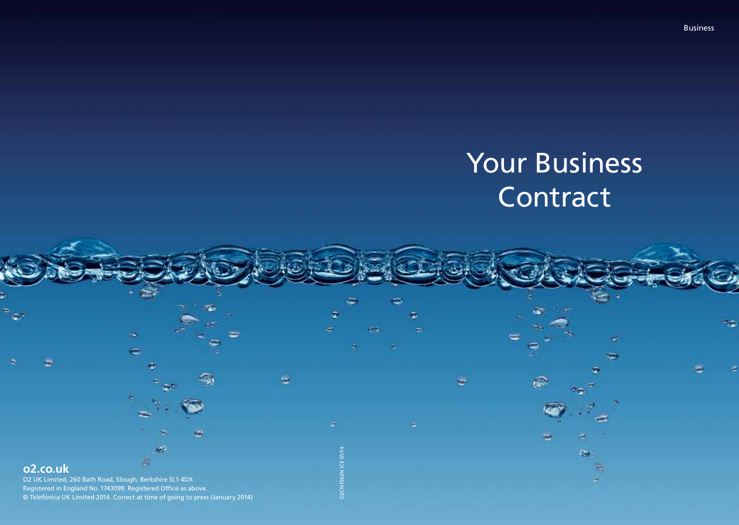# Your Business **Contract**

 $\sqrt{2}$ 

s c

ಾ

Business

# o2.co.uk

O2 UK Limited, 260 Bath Road, Slough, Berkshire SL1 4DX Registered in England No. 1743099. Registered Office as above. © Telefónica UK Limited 2014. Correct at time of going to press (January 2014)

۰

橘

O2CN1562N ICE 01/14

**D2CN1562** 

**CE 01/14**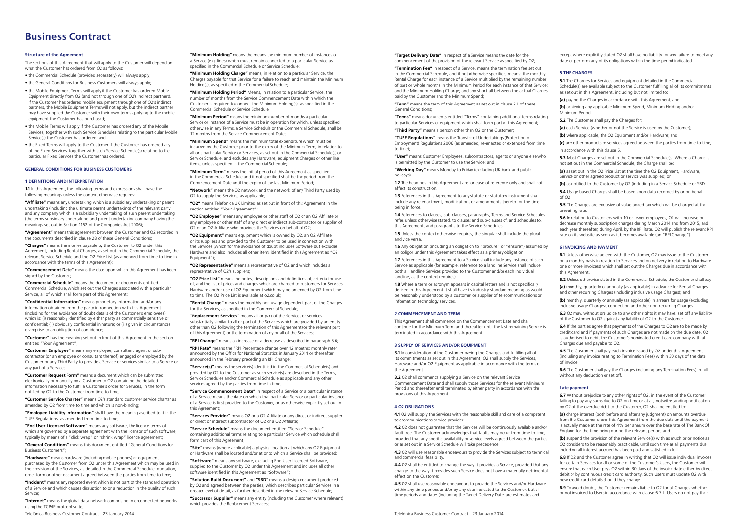## Business Contract

#### Structure of the Agreement

The sections of this Agreement that will apply to the Customer will depend on what the Customer has ordered from O2 as follows:

• the Commercial Schedule (provided separately) will always apply; • the General Conditions for Business Customers will always apply;

• the Mobile Equipment Terms will apply if the Customer has ordered Mobile Equipment directly from O2 (and not through one of O2's indirect partners). If the Customer has ordered mobile equipment through one of O2's indirect partners, the Mobile Equipment Terms will not apply, but the indirect partner

may have supplied the Customer with their own terms applying to the mobile equipment the Customer has purchased; • the Mobile Terms will apply if the Customer has ordered any of the Mobile Services, together with such Service Schedules relating to the particular Mobile Service(s) the Customer has ordered; and

• the Fixed Terms will apply to the Customer if the Customer has ordered any of the Fixed Services, together with such Service Schedule(s) relating to the particular Fixed Services the Customer has ordered.

## General conditions for business customers

#### 1 DEFINITIONS AND INTERPRETATION

1.1 In this Agreement, the following terms and expressions shall have the following meanings unless the context otherwise requires:

"Affiliate" means any undertaking which is a subsidiary undertaking or parent undertaking (including the ultimate parent undertaking) of the relevant party and any company which is a subsidiary undertaking of such parent undertaking (the terms subsidiary undertaking and parent undertaking company having the meanings set out in Section 1162 of the Companies Act 2006);

"Agreement" means this agreement between the Customer and O2 recorded in the documents described in clause 28 of these General Conditions;

"Charges" means the monies payable by the Customer to O2 under this Agreement, including Rental Charges, as set out in the Commercial Schedule, the relevant Service Schedule and the O2 Price List (as amended from time to time in accordance with the terms of this Agreement);

"Commencement Date" means the date upon which this Agreement has been signed by the Customer

"Commercial Schedule" means the document or documents entitled Commercial Schedule, which set out the Charges associated with a particular Service, all of which shall form part of this Agreement;

"Confidential Information" means proprietary information and/or any information obtained from the party in connection with this Agreement (including for the avoidance of doubt details of the Customer's employees) which is: (i) reasonably identified by either party as commercially sensitive or confidential; (ii) obviously confidential in nature; or (iii) given in circumstances giving rise to an obligation of confidence;

"Customer" has the meaning set out in front of this Agreement in the section entitled "Your Agreement";

"Customer Employee" means any employee, consultant, agent or subcontractor (or an employee or consultant thereof) engaged or employed by the Customer or any Third Party to provide a Service or services similar to a Service or any part of a Service;

"Customer Request Form" means a document which can be submitted electronically or manually by a Customer to O2 containing the detailed information necessary to fulfil a Customer's order for Services, in the form notified by O2 to the Customer from time to time;

"Customer Service Charter" means O2's standard customer service charter as amended by O2 from time to time and which is non-binding;

"Employee Liability Information" shall have the meaning ascribed to it in the TUPE Regulations, as amended from time to time;

"End User Licensed Software" means any software, the licence terms of which are governed by a separate agreement with the licensor of such software, typically by means of a "click wrap" or "shrink wrap" licence agreement;

"General Conditions" means this document entitled "General Conditions for Business Customers";

"Hardware" means hardware (including mobile phones) or equipment purchased by the Customer from O2 under this Agreement which may be used in the provision of the Services, as detailed in the Commercial Schedule, quotation, order form or other document agreed between the parties from time to time;

"Incident" means any reported event which is not part of the standard operation of a Service and which causes disruption to or a reduction in the quality of such Service;

"Internet" means the global data network comprising interconnected networks using the TCP/IP protocol suite;

Telefónica Business Customer Contract – 23 January 2014 Telefónica Business Customer Contract – 23 January 2014

"Minimum Holding" means the means the minimum number of instances of a Service (e.g. lines) which must remain connected to a particular Service as specified in the Commercial Schedule or Service Schedule;

"Minimum Holding Charge" means, in relation to a particular Service, the Charges payable for that Service for a failure to reach and maintain the Minimum Holding(s), as specified in the Commercial Schedule;

"Minimum Holding Period" Means, in relation to a particular Service, the number of months from the Service Commencement Date within which the Customer is required to connect the Minimum Holding(s), as specified in the Commercial Schedule or Service Schedule;

"Minimum Period" means the minimum number of months a particular Service or instance of a Service must be in operation for which, unless specified otherwise in any Terms, a Service Schedule or the Commercial Schedule, shall be 12 months from the Service Commencement Date;

"Minimum Spend" means the minimum total expenditure which must be incurred by the Customer prior to the expiry of the Minimum Term, in relation to all or a particular Service or Services, as set out in the Commercial Schedule(s) or Service Schedule, and excludes any Hardware, equipment Charges or other line items, unless specified in the Commercial Schedule;

"Minimum Term" means the initial period of this Agreement as specified in the Commercial Schedule and if not specified shall be the period from the Commencement Date until the expiry of the last Minimum Period;

"Network" means the O2 network and the network of any Third Party used by O2 to supply the Services, as applicable;

"O2" means Telefonica UK Limited as set out in front of this Agreement in the section entitled "Your Agreement":

"O2 Employee" means any employee or other staff of O2 or an O2 Affiliate or any employee or other staff of any direct or indirect sub-contractor or supplier of O2 or an O2 Affiliate who provides the Services on behalf of O2;

"O2 Equipment" means equipment which is owned by O2, an O2 Affiliate or its suppliers and provided to the Customer to be used in connection with the Services (which for the avoidance of doubt includes Software but excludes Hardware and also includes all other items identified in this Agreement as "O2 Equipment");

"O2 Representative" means a representative of O2 and which includes a representative of O2's suppliers;

"O2 Price List" means the notes, descriptions and definitions of, criteria for use of, and the list of prices and charges which are charged to customers for Services, Hardware and/or use of O2 Equipment which may be amended by O2 from time to time. The O2 Price List is available at o2.co.uk;

"Rental Charge" means the monthly non-usage dependent part of the Charges for the Services, as specified in the Commercial Schedule;

"Replacement Services" means all or part of the Services or services substantially similar to all or part of the Services which are provided by an entity other than O2 following the termination of this Agreement (or the relevant part of this Agreement) or the termination of any or all of the Services;

"RPI Change" means an increase or a decrease as described in paragraph 5.6; "RPI Rate" means the "RPI Percentage change over 12 months: monthly rate" announced by the Office for National Statistics in January 2014 or thereafter announced in the February preceding an RPI Change;

"Service(s)" means the service(s) identified in the Commercial Schedule(s) and provided by O2 to the Customer as such service(s) are described in the Terms, Service Schedules and/or Commercial Schedule as applicable and any other services agreed by the parties from time to time;

"Service Commencement Date" in respect of a Service or a particular instance of a Service means the date on which that particular Service or particular instance of a Service is first provided to the Customer, or as otherwise explicitly set out in this Agreement

"Services Provider" means O2 or a O2 Affiliate or any direct or indirect supplier or direct or indirect subcontractor of O2 or a O2 Affiliate;

"Service Schedule" means the document entitled "Service Schedule" containing additional terms relating to a particular Service which schedule shall form part of this Agreement;

"Site" means (where applicable) a physical location at which any O2 Equipment or Hardware shall be located and/or at or to which a Service shall be provided;

"Software" means any software, excluding End User Licensed Software, supplied to the Customer by O2 under this Agreement and includes all other software identified in this Agreement as "Software";

"Solution Build Document" and "SBD" means a design document produced by O2 and agreed between the parties, which describes particular Services in a greater level of detail, as further described in the relevant Service Schedule;

"Successor Supplier" means any entity (including the Customer where relevant) which provides the Replacement Services;

"Target Delivery Date" in respect of a Service means the date for the commencement of the provision of the relevant Service as specified by O2;

"Termination Fee" in respect of a Service, means the termination fee set out in the Commercial Schedule, and if not otherwise specified, means: the monthly Rental Charge for each instance of a Service multiplied by the remaining number of part or whole months in the Minimum Period for each instance of that Service; and the Minimum Holding Charge; and any shortfall between the actual Charges paid by the Customer and the Minimum Spend;

"Term" means the term of this Agreement as set out in clause 2.1 of these General Conditions;

"Terms" means documents entitled "Terms" containing additional terms relating to particular Services or equipment which shall form part of this Agreement;

"Third Party" means a person other than O2 or the Customer;

"TUPE Regulations" means the Transfer of Undertakings (Protection of Employment) Regulations 2006 (as amended, re-enacted or extended from time to time);

"User" means Customer Employees, subcontractors, agents or anyone else who is permitted by the Customer to use the Service; and

"Working Day" means Monday to Friday (excluding UK bank and public holidays).

1.2 The headings in this Agreement are for ease of reference only and shall not affect its construction.

1.3 References in this Agreement to any statute or statutory instrument shall include any re enactment, modifications or amendments thereto for the time being in force.

1.4 References to clauses, sub-clauses, paragraphs, Terms and Service Schedules refer, unless otherwise stated, to clauses and sub-clauses of, and schedules to, this Agreement, and paragraphs to the Service Schedules.

1.5 Unless the context otherwise requires, the singular shall include the plural and vice versa.

1.6 Any obligation (including an obligation to "procure" or "ensure") assumed by an obligor under this Agreement takes effect as a primary obligation.

1.7 References in this Agreement to a Service shall include any instance of such Service as applicable (for example, reference to a landline Service shall include both all landline Services provided to the Customer and/or each individual landline, as the context requires).

1.8 Where a term or acronym appears in capital letters and is not specifically defined in this Agreement it shall have its industry standard meaning as would be reasonably understood by a customer or supplier of telecommunications or information technology services.

#### 2 COMMENCEMENT AND TERM

This Agreement shall commence on the Commencement Date and shall continue for the Minimum Term and thereafter until the last remaining Service is terminated in accordance with this Agreement.

#### 3 SUPPLY OF SERVICES AND/OR EQUIPMENT

3.1 In consideration of the Customer paying the Charges and fulfilling all of its commitments as set out in this Agreement, O2 shall supply the Services, Hardware and/or O2 Equipment as applicable in accordance with the terms of the Agreement

3.2 O2 shall commence supplying a Service on the relevant Service Commencement Date and shall supply those Services for the relevant Minimum Period and thereafter until terminated by either party in accordance with the provisions of this Agreement.

#### 4 O2 OBLIGATIONS

4.1 O2 will supply the Services with the reasonable skill and care of a competent telecommunications service provider.

4.2 O2 does not guarantee that the Services will be continuously available and/or fault-free. The Customer acknowledges that faults may occur from time to time, provided that any specific availability or service levels agreed between the parties or as set out in a Service Schedule will take precedence.

4.3 O2 will use reasonable endeavours to provide the Services subject to technical and commercial feasibility.

4.4 O2 shall be entitled to change the way it provides a Service, provided that any change to the way it provides such Service does not have a materially detrimental effect on the Customer.

4.5 O2 shall use reasonable endeavours to provide the Services and/or Hardware within any time periods and/or by any date indicated to the Customer, but all time periods and dates (including the Target Delivery Date) are estimates and

except where explicitly stated O2 shall have no liability for any failure to meet any date or perform any of its obligations within the time period indicated.

#### 5 THE CHARGES

5.1 The Charges for Services and equipment detailed in the Commercial Schedule(s) are available subject to the Customer fulfilling all of its commitments as set out in this Agreement, including but not limited to:

(a) paying the Charges in accordance with this Agreement; and

(b) achieving any applicable Minimum Spend, Minimum Holding and/or Minimum Period.

5.2 The Customer shall pay the Charges for:

(a) each Service (whether or not the Service is used by the Customer);

(b) where applicable, the O2 Equipment and/or Hardware; and

(c) any other products or services agreed between the parties from time to time, in accordance with this clause 5.

5.3 Most Charges are set out in the Commercial Schedule(s). Where a Charge is not set out in the Commercial Schedule, the Charge shall be:

(a) as set out in the O2 Price List at the time the O2 Equipment, Hardware, Service or other agreed product or service was supplied; or

(b) as notified to the Customer by O2 (including in a Service Schedule or SBD).

5.4 Usage based Charges shall be based upon data recorded by or on behalf of O2.

5.5 The Charges are exclusive of value added tax which will be charged at the prevailing rate.

5.6 In relation to Customers with 10 or fewer employees, O2 will increase or decrease monthly subscription charges during March 2014 and from 2015, and each year thereafter, during April, by the RPI Rate. O2 will publish the relevant RPI rate on its website as soon as it becomes available (an "RPI Change").

#### 6 INVOICING AND PAYMENT

without any deduction or set off.

Late payment

6.1 Unless otherwise agreed with the Customer, O2 may issue to the Customer on a monthly basis in relation to Services and on delivery in relation to Hardware one or more invoice(s) which shall set out the Charges due in accordance with this Agreement.

6.2 Unless otherwise stated in the Commercial Schedule, the Customer shall pay:

(a) monthly, quarterly or annually (as applicable) in advance for Rental Charges and other recurring Charges (including inclusive usage Charges); and

(b) monthly, quarterly or annually (as applicable) in arrears for usage (excluding inclusive usage Charges), connection and other non-recurring Charges.

6.3 O2 may, without prejudice to any other rights it may have, set off any liability of the Customer to O2 against any liability of O2 to the Customer.

6.4 If the parties agree that payments of the Charges to O2 are to be made by credit card and if payments of such Charges are not made on the due date, O2 is authorised to debit the Customer's nominated credit card company with all Charges due and payable to O2.

6.5 The Customer shall pay each invoice issued by O2 under this Agreement (including any invoice relating to Termination Fees) within 30 days of the date of invoice. 6.6 The Customer shall pay the Charges (including any Termination Fees) in full

6.7 Without prejudice to any other rights of O2, in the event of the Customer failing to pay any sums due to O2 on time or at all, notwithstanding notification by O2 of the overdue debt to the Customer, O2 shall be entitled to: (a) charge interest (both before and after any judgment) on amounts overdue from the Customer under this Agreement from the due date until the payment is actually made at the rate of 4% per annum over the base rate of The Bank Of

(b) suspend the provision of the relevant Service(s) with as much prior notice as O2 considers to be reasonably practicable, until such time as all payments due including all interest accrued has been paid and satisfied in full.

6.8 If O2 and the Customer agree in writing that O2 will issue individual invoices for certain Services for all or some of the Customer's Users, the Customer will ensure that each User pays O2 within 30 days of the invoice date either by direct debit or by continuous credit card authority. Such Users must update O2 with

6.9 To avoid doubt, the Customer remains liable to O2 for all Charges whether or not invoiced to Users in accordance with clause 6.7. If Users do not pay their

England for the time being during the relevant period; and

new credit card details should they change.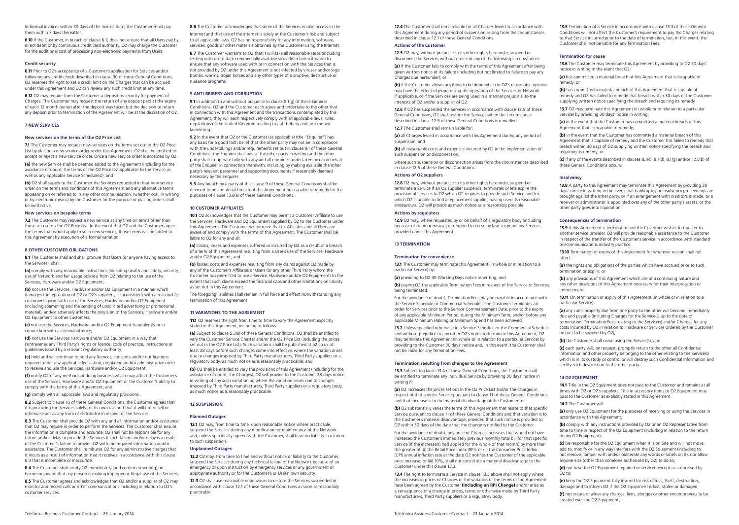individual invoices within 30 days of the invoice date, the Customer must pay them within 7 days thereafter.

6.10 If the Customer, in breach of clause 6.7, does not ensure that all Users pay by direct debit or by continuous credit card authority, O2 may charge the Customer for the additional cost of processing non-electronic payments from Users.

#### Credit security

6.11 Prior to O2's acceptance of a Customer's application for Services and/or following any credit check described in clause 30 of these General Conditions, O2 reserves the right to set a credit limit on the Charges that can be accrued under this Agreement and O2 can review any such credit limit at any time.

6.12 O2 may require from the Customer a deposit as security for payment of Charges. The Customer may request the return of any deposit paid at the expiry of each 12 month period after the deposit was taken but the decision to return any deposit prior to termination of the Agreement will be at the discretion of O2.

## 7 NEW SERVICES

#### New services on the terms of the O2 Price List

71 The Customer may request new services on the terms set out in the O2 Price List by placing a new service order under this Agreement. O2 shall be entitled to accept or reject a new service order. Once a new service order is accepted by O2:

(a) the new Service shall be deemed added to the Agreement (including for the avoidance of doubt, the terms of the O2 Price List applicable to the Service as well as any applicable Service Schedule(s)); and

(b) O2 shall supply to the Customer the Services requested in that new service order on the terms and conditions of this Agreement and any alternative terms appearing on or referred to in any other communication, (whether oral, in writing or by electronic means) by the Customer for the purpose of placing orders shall be ineffective.

## New services on bespoke terms

7.2 The Customer may request a new service at any time on terms other than those set out on the O2 Price List. In the event that O2 and the Customer agree the terms that would apply to such new services, those terms will be added to this Agreement by execution of a formal variation.

## 8 OTHER CUSTOMER OBLIGATIONS

8.1 The Customer shall and shall procure that Users (or anyone having access to the Services), shall:

(a) comply with any reasonable instructions (including health and safety, security, use of Network and fair usage policies) from O2 relating to the use of the Services, Hardware and/or O2 Equipment;

(b) not use the Services, Hardware and/or O2 Equipment in a manner which damages the reputation of O2 or O2's suppliers, is inconsistent with a reasonable customer's good faith use of the Services, Hardware and/or O2 Equipment (including spamming and the sending of unsolicited advertising or promotional material), and/or adversely affects the provision of the Services, Hardware and/or O2 Equipment to other customers;

(c) not use the Services, Hardware and/or O2 Equipment fraudulently or in connection with a criminal offence;

(d) not use the Services Hardware and/or O2 Equipment in a way that contravenes any Third Party's rights or licence, code of practice, instructions or guidelines issued by a relevant regulatory authority;

(e) hold and will continue to hold any licences, consents and/or notifications required under any applicable legislation, regulation and/or administrative order to receive and use the Services, Hardware and/or O2 Equipment;

(f) notify O2 of any methods of doing business which may affect the Customer's use of the Services, Hardware and/or O2 Equipment or the Customer's ability to comply with the terms of this Agreement; and

(g) comply with all applicable laws and regulatory provisions.

8.2 Subject to clause 10 of these General Conditions, the Customer agrees that it is procuring the Services solely for its own use and that it will not re-sell or otherwise act as any form of distributor in respect of the Services.

8.3 The Customer shall provide O2 with any and all information and/or assistance that O2 may require in order to perform the Services. The Customer shall ensure the information is complete and accurate. O2 shall not be responsible for any failure and/or delay to provide the Services if such failure and/or delay is a result of the Customer's failure to provide O2 with the required information and/or assistance. The Customer shall reimburse O2 for any administrative charges that it incurs as a result of information that it receives in accordance with this clause 8.3 that is incomplete or inaccurate.

8.4 The Customer shall notify O2 immediately (and confirm in writing) on becoming aware that any person is making improper or illegal use of the Services.

8.5 The Customer agrees and acknowledges that O2 and/or a supplier of O2 may monitor and record calls or other communications including in relation to O2's customer services.

8.6 The Customer acknowledges that some of the Services enable access to the Internet and that use of the Internet is solely at the Customer's risk and subject to all applicable laws. O2 has no responsibility for any information, software, services, goods or other materials obtained by the Customer using the Internet.

8.7 The Customer warrants to O2 that it will take all reasonable steps (including testing with up-to-date commercially available virus detection software) to ensure that any software used with or in connection with the Services that is not provided by O2 under this Agreement is not infected by viruses and/or logic bombs, worms, trojan horses and any other types of disruptive, destructive or nuisance programs.

## 9 ANTI-BRIBERY AND CORRUPTION

9.1 In addition to and without prejudice to clause 8.1(g) of these General Conditions, O2 and the Customer each agree and undertake to the other that in connection with this Agreement and the transactions contemplated by this Agreement, they will each respectively comply with all applicable laws, rules, regulations of the United Kingdom relating to anti-bribery and anti-money laundering.

9.2 In the event that 02 or the Customer (as applicable) (the "Enquirer") has any basis for a good faith belief that the other party may not be in compliance with the undertakings and/or requirements set out in clause 9.1 of these General Conditions, the Enquirer shall advise the other party in writing and the other party shall co-operate fully with any and all enquiries undertaken by or on behalf of the Enquirer in connection therewith, including by making available the other party's relevant personnel and supporting documents if reasonably deemed necessary by the Enquirer.

9.3 Any breach by a party of this clause 9 of these General Conditions shall be deemed to be a material breach of this Agreement not capable of remedy for the purposes of clause 13.6(a) of these General Conditions.

#### 10 CUSTOMER AFFILIATES

10.1 O2 acknowledges that the Customer may permit a Customer Affiliate to use the Services, Hardware and O2 Equipment supplied by O2 to the Customer under this Agreement. The Customer will procure that its Affiliates and all Users are aware of and comply with the terms of this Agreement. The Customer shall be liable to O2 for any and all:

(a) claims, losses and expenses suffered or incurred by O2 as a result of a breach of a term of this Agreement resulting from a User's use of the Services, Hardware and/or O2 Equipment; and

(b) losses, costs and expenses resulting from any claims against O2 made by any of the Customer's Affiliates or Users (or any other Third Party whom the Customer has permitted to use a Service, Hardware and/or O2 Equipment) to the extent that such claims exceed the financial caps and other limitations on liability as set out in this Agreement.

The foregoing liabilities shall remain in full force and effect notwithstanding any termination of this Agreement.

#### 11 VARIATIONS TO THE AGREEMENT

11.1 O2 reserves the right from time to time to vary the Agreement explicitly stated in this Agreement, including as follows:

(a) Subject to clause 5.3(a) of these General Conditions, O2 shall be entitled to vary the Customer Service Charter and/or the O2 Price List (including the prices set out in the O2 Price List). Such variations shall be published at o2.co.uk at least 28 days before such changes come into effect or, where the variation arises due to changes imposed by Third Party manufacturers, Third Party suppliers or a regulatory body, as much notice as is reasonably practicable; and

(b) O2 shall be entitled to vary the provisions of this Agreement (including for the avoidance of doubt, the Charges). O2 will provide to the Customer 28 days notice in writing of any such variation or, where the variation arises due to changes imposed by Third Party manufacturers, Third Party suppliers or a regulatory body, as much notice as is reasonably practicable.

## 12 SUSPENSION

#### Planned Outages

12.1 O2 may, from time to time, upon reasonable notice where practicable, suspend the Services during any modification or maintenance of the Network and, unless specifically agreed with the Customer, shall have no liability in relation to such suspension.

#### Unplanned Outages

12.2 O2 may, from time to time and without notice or liability to the Customer, suspend the Services during any technical failure of the Network because of an emergency or upon instruction by emergency services or any government or appropriate authority or for the Customer's or Users' own security.

12.3 O2 shall use reasonable endeavours to restore the Services suspended in accordance with clause 12.1 of these General Conditions as soon as reasonably practicable.

Telefónica Business Customer Contract – 23 January 2014 Telefónica Business Customer Contract – 23 January 2014

12.4 The Customer shall remain liable for all Charges levied in accordance with this Agreement during any period of suspension arising from the circumstances described in clause 12.1 of these General Conditions.

## Actions of the Customer

12.5 O2 may, without prejudice to its other rights hereunder, suspend or disconnect the Services without notice in any of the following circumstances:

(a) if the Customer fails to comply with the terms of this Agreement after being given written notice of its failure (including but not limited to failure to pay any Charges due hereunder); or

(b) if the Customer allows anything to be done which in O2's reasonable opinion may have the effect of jeopardising the operation of the Services or Network if applicable, or if the Services are being used in a manner prejudicial to the interests of  $\overline{O2}$  and/or a supplier of  $\overline{O2}$ .

12.6 If O2 has suspended the Services in accordance with clause 12.5 of these General Conditions, O2 shall restore the Services when the circumstance described in clause 12.5 of these General Conditions is remedied.

12.7 The Customer shall remain liable for

(a) all Charges levied in accordance with this Agreement during any period of suspension; and

(b) all reasonable costs and expenses incurred by O2 in the implementation of such suspension or disconnection,

where such suspension or disconnection arises from the circumstances described in clause 12.5 of these General Conditions.

## Actions of O2 suppliers

12.8 02 may, without prejudice to its other rights hereunder, suspend or terminate a Service if an O2 supplier suspends, terminates or lets expire the provision of services to O2 which O2 requires to provide such Service and for which O2 is unable to find a replacement supplier, having used its reasonable endeavours. O2 will provide as much notice as is reasonably possible.

## Actions by regulators

12.9 O2 may, where requested by or on behalf of a regulatory body (including because of fraud or misuse) or required to do so by law, suspend any Services provided under this Agreement.

#### 13 TERMINATION

#### Termination for convenience

13.1 The Customer may terminate this Agreement (in whole or in relation to a particular Service) by:

(a) providing to O2 30 Working Days notice in writing; and

(b) paying O2 the applicable Termination Fees in respect of the Service or Services being terminated.

For the avoidance of doubt, Termination Fees may be payable in accordance with the Service Schedule or Commercial Schedule if the Customer terminates an order for Services prior to the Service Commencement Date, prior to the expiry of any applicable Minimum Period; during the Minimum Term; and/or before any applicable Minimum Holding or Minimum Spend has been achieved.

13.2 Unless specified otherwise in a Service Schedule or the Commercial Schedule and without prejudice to any other O2's rights to terminate this Agreement, O2 may terminate this Agreement (in whole or in relation to a particular Service) by providing to the Customer 30 days' notice and, in this event, the Customer shall not be liable for any Termination Fees.

#### Termination resulting from changes to the Agreement

13.3 Subject to clause 13.4 of these General Conditions, the Customer shall be entitled to terminate any individual Service by providing 30 days' notice in writing if:

(a) O<sub>2</sub> increases the prices set out in the O<sub>2</sub> Price List and/or the Charges in respect of that specific Service pursuant to clause 11 of these General Conditions and that increase is to the material disadvantage of the Customer; or

(b) O2 substantially varies the terms of this Agreement that relate to that specific Service pursuant to clause 11 of these General Conditions and that variation is to the Customer's material disadvantage, provided that such notice is provided to O2 within 30 days of the date that the change is notified to the Customer.

For the avoidance of doubt, any price or Charges increases that would not have increased the Customer's immediately previous monthly total bill for that specific Service (if the increase(s) had applied for the whole of that month) by more than the greater of: (i) the Retail Price Index (RPI); or (ii) the Consumer Price Index (CPI) annual inflation rate at the date O2 notifies the Customer of the applicable price increase; or (iii) 10%, shall not constitute a material disadvantage to the Customer under this clause 13.3.

13.4 The right to terminate a Service in clause 13.3 above shall not apply where the increases in prices or Charges or the variation of the terms of the Agreement have been agreed by the Customer (including an RPI Change) and/or arise as a consequence of a change in prices, terms or otherwise made by Third Party manufacturers, Third Party suppliers or a regulatory body.

13.5 Termination of a Service in accordance with clause 13.3 of these General Conditions will not affect the Customer's requirement to pay the Charges relating to that Service incurred prior to the date of termination, but, in this event, the Customer shall not be liable for any Termination Fees.

#### Termination for cause

13.6 The Customer may terminate this Agreement by providing to O2 30 days' notice in writing in the event that O2:

(a) has committed a material breach of this Agreement that is incapable of remedy; or

(b) has committed a material breach of this Agreement that is capable of remedy and O2 has failed to remedy that breach within 30 days of the Customer supplying written notice specifying the breach and requiring its remedy.

13.7 O2 may terminate this Agreement (in whole or in relation to a particular Service) by providing 30 days' notice in writing:

(a) in the event that the Customer has committed a material breach of this Agreement that is incapable of remedy;

(b) in the event that the Customer has committed a material breach of this Agreement that is capable of remedy and the Customer has failed to remedy that breach within 30 days of O2 supplying written notice specifying the breach and requiring its remedy; or

(c) if any of the events described in clauses 8.1(c), 8.1(d), 8.1(g) and/or 12.5(b) of these General Conditions occurs.

#### Insolvency

13.8 A party to this Agreement may terminate this Agreement by providing 30 days' notice in writing in the event that bankruptcy or insolvency proceedings are brought against the other party, or if an arrangement with creditors is made, or a receiver or administrator is appointed over any of the other party's assets, or the other party goes into liquidation.

#### Consequences of termination

13.9 If this Agreement is terminated and the Customer wishes to transfer to another service provider, O2 will provide reasonable assistance to the Customer in respect of the transfer of the Customer's service in accordance with standard telecommunications industry practice.

13.10 Termination or expiry of this Agreement for whatever reason shall not affect:

(a) the rights and obligations of the parties which have accrued prior to such termination or expiry; or

(b) any provisions of this Agreement which are of a continuing nature and any other provisions of this Agreement necessary for their interpretation or enforcement.

13.11 On termination or expiry of this Agreement (in whole or in relation to a particular Service):

(a) any sums properly due from one party to the other will become immediately due and payable (including Charges for the Service(s) up to the date of termination, Termination Fees relating to the Service(s) and/or Charges for any costs incurred by O2 in relation to Hardware or Services ordered by the Customer but yet to be supplied by O2);

(b) the Customer shall cease using the Service(s); and

(c) each party will, on request, promptly return to the other all Confidential Information and other property belonging to the other relating to the Service(s) which is in its custody or control or will destroy such Confidential Information and certify such destruction to the other party.

## 14 O2 EQUIPMENT

14.1 Title in the O2 Equipment does not pass to the Customer and remains at all times with O2 or O2's suppliers. Title in accessory items to O2 Equipment may pass to the Customer as explicitly stated in this Agreement.

#### 14.2 The Customer will

created over the O2 Equipment;

(a) only use O2 Equipment for the purposes of receiving or using the Services in accordance with this Agreement;

(b) comply with any instructions provided by O2 or an O2 Representative from time to time in respect of the O2 Equipment (including in relation to the return of any O2 Equipment);

(c) be responsible for the O2 Equipment when it is on Site and will not move, add to, modify or in any way interfere with the O2 Equipment (including to not remove, tamper with and/or obliterate any words or labels on it), nor allow anyone else (other than someone authorised by O2) to do so;

(d) not have the O2 Equipment repaired or serviced except as authorised by  $\bigcap$  2 to: (e) keep the O2 Equipment fully insured for risk of loss, theft, destruction, damage and to inform O2 if the O2 Equipment is lost, stolen or damaged;

(f) not create or allow any charges, liens, pledges or other encumbrances to be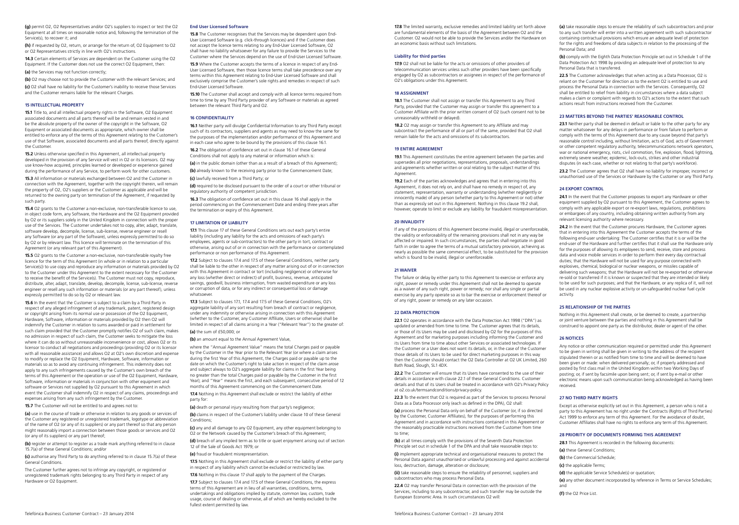(g) permit O2, O2 Representatives and/or O2's suppliers to inspect or test the O2 Equipment at all times on reasonable notice and, following the termination of the Service(s), to recover it; and

(h) if requested by O2, return, or arrange for the return of, O2 Equipment to O2 or O2 Representatives strictly in line with O2's instructions.

14.3 Certain elements of Services are dependent on the Customer using the O2 Equipment. If the Customer does not use the correct O2 Equipment, then: (a) the Services may not function correctly;

(b) O2 may choose not to provide the Customer with the relevant Services; and (c) O2 shall have no liability for the Customer's inability to receive those Services and the Customer remains liable for the relevant Charges.

## 15 INTELLECTUAL PROPERTY

15.1 Title to, and all intellectual property rights in the Software, O2 Equipment associated documents and all parts thereof will be and remain vested in and be the absolute property of the owner of the copyright in the Software, O2 Equipment or associated documents as appropriate, which owner shall be entitled to enforce any of the terms of this Agreement relating to the Customer's use of that Software, associated documents and all parts thereof, directly against the Customer.

15.2 Unless otherwise specified in this Agreement, all intellectual property developed in the provision of any Service will vest in O2 or its licensors. O2 may use know-how acquired, principles learned or developed or experience gained during the performance of any Service, to perform work for other customers.

15.3 All information or materials exchanged between O2 and the Customer in connection with the Agreement, together with the copyright therein, will remain the property of O2, O2's suppliers or the Customer as applicable and will be returned to the owning party on termination of the Agreement, if requested by such party.

15.4 O2 grants to the Customer a non-exclusive, non-transferable licence to use, in object code form, any Software, the Hardware and the O2 Equipment provided by O2 or its suppliers solely in the United Kingdom in connection with the proper use of the Services. The Customer undertakes not to copy, alter, adapt, translate, software develop, decompile, license, sub-license, reverse engineer or resell any Software (or any part of the Software), unless expressly permitted to do so by O2 or by relevant law. This licence will terminate on the termination of this Agreement (or any relevant part of this Agreement).

15.5 O2 grants to the Customer a non-exclusive, non-transferable royalty free licence for the term of this Agreement (in whole or in relation to a particular Service(s)) to use copy and reproduce any information or materials provided by O2 to the Customer under this Agreement to the extent necessary for the Customer to receive the benefit of the Service(s). The Customer must not copy, reproduce, distribute, alter, adapt, translate, develop, decompile, license, sub-license, reverse engineer or resell any such information or materials (or any part thereof), unless expressly permitted to do so by O2 or relevant law.

15.6 In the event that the Customer is subject to a claim by a Third Party in respect of any alleged infringement of any trademark, patent, registered design or copyright arising from its normal use or possession of the O2 Equipment, Hardware, Software, information or materials provided by O2 then O2 will indemnify the Customer in relation to sums awarded or paid in settlement for such claim provided that the Customer promptly notifies O2 of such claim, makes no admission in respect of such claim, the Customer seeks to mitigate the loss where it can do so without unreasonable inconvenience or cost, allows O2 or its licensor to conduct all negotiations and proceedings (providing O2 or its licensor with all reasonable assistance) and allows O2 at O2's own discretion and expense to modify or replace the O2 Equipment, Hardware, Software, information or materials so as to avoid any continuing infringement. This indemnity does not apply to any such infringements caused by the Customer's own breach of the terms of this Agreement or the operation or use of the O2 Equipment, Hardware, Software, information or materials in conjunction with other equipment and software or Services not supplied by O2 pursuant to this Agreement in which event the Customer shall indemnify O2 in respect of any claims, proceedings and expenses arising from any such infringement by the Customer.

15.7 The Customer will not be entitled to and agrees not to:

(a) use in the course of trade or otherwise in relation to any goods or services of the Customer any registered or unregistered trademark, logotype or abbreviation of the name of O2 (or any of its suppliers) or any part thereof so that any person might reasonably import a connection between those goods or services and O2 (or any of its suppliers) or any part thereof:

(b) register or attempt to register as a trade mark anything referred to in clause 15.7(a) of these General Conditions; and/or

(c) authorise any Third Party to do anything referred to in clause 15.7(a) of these General Conditions.

The Customer further agrees not to infringe any copyright, or registered or unregistered trademark rights belonging to any Third Party in respect of any Hardware or O2 Equipment.

#### End User Licensed Software

15.8 The Customer recognises that the Services may be dependent upon End-User Licensed Software (e.g. click-through licences) and if the Customer does not accept the licence terms relating to any End-User Licensed Software, O2 shall have no liability whatsoever for any failure to provide the Services to the Customer where the Services depend on the use of End-User Licensed Software.

15.9 Where the Customer accepts the terms of a licence in respect of any End-User Licensed Software, then those licence terms shall take precedence over any terms within this Agreement relating to End-User Licensed Software and shall exclusively comprise the Customer's sole rights and remedies in respect of such End-User Licensed Software.

15.10 The Customer shall accept and comply with all licence terms required from time to time by any Third Party provider of any Software or materials as agreed between the relevant Third Party and O2.

## 16 CONFIDENTIALITY

16.1 Neither party will divulge Confidential Information to any Third Party except such of its contractors, suppliers and agents as may need to know the same for the purposes of the implementation and/or performance of this Agreement and in each case who agree to be bound by the provisions of this clause 16.1.

16.2 The obligation of confidence set out in clause 16.1 of these General Conditions shall not apply to any material or information which is:

(a) in the public domain (other than as a result of a breach of this Agreement); (b) already known to the receiving party prior to the Commencement Date;

(c) lawfully received from a Third Party; or

(d) required to be disclosed pursuant to the order of a court or other tribunal or regulatory authority of competent jurisdiction.

16.3 The obligation of confidence set out in this clause 16 shall apply in the period commencing on the Commencement Date and ending three years after the termination or expiry of this Agreement.

#### 17 LIMITATION OF LIABILITY

17.1 This clause 17 of these General Conditions sets out each party's entire liability (including any liability for the acts and omissions of each party's employees, agents or sub-contractors) to the other party in tort, contract or otherwise, arising out of or in connection with the performance or contemplated performance or non performance of this Agreement.

17.2 Subject to clauses 17.4 and 17.5 of these General Conditions, neither party shall be liable to the other in respect of any matter arising out of or in connection with this Agreement in contract or tort (including negligence) or otherwise for any loss (whether direct or indirect) of profit, business, revenue, anticipated savings, goodwill, business interruption, from wasted expenditure or any loss or corruption of data, or for any indirect or consequential loss or damage whatsoever

17.3 Subject to clauses 171, 17.4 and 17.5 of these General Conditions, O2's aggregate liability of any sort resulting from breach of contract or negligence, under any indemnity or otherwise arising in connection with this Agreement (whether to the Customer, any Customer Affiliate, Users or otherwise) shall be limited in respect of all claims arising in a Year ("Relevant Year") to the greater of: (a) the sum of £50,000; or

(b) an amount equal to the Annual Agreement Value,

where the "Annual Agreement Value" means the total Charges paid or payable by the Customer in the Year prior to the Relevant Year (or where a claim arises during the first Year of this Agreement, the Charges paid or payable up to the date on which the Customer's right to take action in respect of the claim arose and subject always to O2's aggregate liability for claims in the first Year being no greater than the total Charges paid or payable by the Customer in the first Year); and "Year" means the first, and each subsequent, consecutive period of 12 months of this Agreement commencing on the Commencement Date.

17.4 Nothing in this Agreement shall exclude or restrict the liability of either party for:

(a) death or personal injury resulting from that party's negligence;

(b) claims in respect of the Customer's liability under clause 10 of these General Conditions;

(c) any and all damage to any O2 Equipment, any other equipment belonging to O2 or the Network caused by the Customer's breach of this Agreement;

(d) breach of any implied term as to title or quiet enjoyment arising out of section 12 of the Sale of Goods Act 1979; or

(e) fraud or fraudulent misrepresentation.

17.5 Nothing in this Agreement shall exclude or restrict the liability of either party in respect of any liability which cannot be excluded or restricted by law.

17.6 Nothing in this clause 17 shall apply to the payment of the Charges. 17.7 Subject to clauses 17.4 and 17.5 of these General Conditions, the express terms of this Agreement are in lieu of all warranties, conditions, terms, undertakings and obligations implied by statute, common law, custom, trade usage, course of dealing or otherwise, all of which are hereby excluded to the fullest extent permitted by law.

17.8 The limited warranty, exclusive remedies and limited liability set forth above are fundamental elements of the basis of the Agreement between O2 and the Customer. O2 would not be able to provide the Services and/or the Hardware on an economic basis without such limitations.

## Liability for third parties

17.9 O2 shall not be liable for the acts or omissions of other providers of telecommunication services unless such other providers have been specifically engaged by O2 as subcontractors or assignees in respect of the performance of O2's obligations under this Agreement.

### 18 ASSIGNMENT

18.1 The Customer shall not assign or transfer this Agreement to any Third Party, provided that the Customer may assign or transfer this agreement to a Customer Affiliate with the prior written consent of O2 (such consent not to be unreasonably withheld or delayed).

18.2 O2 may assign or transfer this Agreement to any Affiliate and may subcontract the performance of all or part of the same, provided that O2 shall remain liable for the acts and omissions of its subcontractors.

#### 19 ENTIRE AGREEMENT

19.1 This Agreement constitutes the entire agreement between the parties and supersedes all prior negotiations, representations, proposals, understandings and agreements whether written or oral relating to the subject matter of this Agreement.

19.2 Each of the parties acknowledges and agrees that in entering into this Agreement, it does not rely on, and shall have no remedy in respect of, any statement, representation, warranty or understanding (whether negligently or innocently made) of any person (whether party to this Agreement or not) other than as expressly set out in this Agreement. Nothing in this clause 19.2 shall, however, operate to limit or exclude any liability for fraudulent misrepresentation.

#### 20 INVALIDITY

If any of the provisions of this Agreement become invalid, illegal or unenforceable, the validity or enforceability of the remaining provisions shall not in any way be affected or impaired. In such circumstances, the parties shall negotiate in good faith in order to agree the terms of a mutual satisfactory provision, achieving as nearly as possible the same commercial effect, to be substituted for the provision which is found to be invalid, illegal or unenforceable.

## 21 WAIVER

The failure or delay by either party to this Agreement to exercise or enforce any right, power or remedy under this Agreement shall not be deemed to operate as a waiver of any such right, power or remedy; nor shall any single or partial exercise by any party operate so as to bar the exercise or enforcement thereof or of any right, power or remedy on any later occasion.

#### 22 DATA PROTECTION

22.1 O2 operates in accordance with the Data Protection Act 1998 ("DPA") as updated or amended from time to time. The Customer agrees that its details, or those of its Users may be used and disclosed by O2 for the purposes of this Agreement and for marketing purposes including informing the Customer and its Users from time to time about other Services or associated technologies. If the Customer or a User does not want its details, or, in the case of the Customer those details of its Users to be used for direct marketing purposes in this way then the Customer should contact the O2 Data Controller at O2 UK Limited, 260 Bath Road, Slough, SL1 4DX.

22.2 The Customer will ensure that its Users have consented to the use of their details in accordance with clause 22.1 of these General Conditions. Customer details and that of its Users shall be treated in accordance with O2's Privacy Policy at o2.co.uk/termsandconditions/privacy-policy.

22.3 To the extent that O2 is required as part of the Services to process Personal Data as a Data Processor only (each as defined in the DPA), O2 shall:

(a) process the Personal Data only on behalf of the Customer (or, if so directed by the Customer, Customer Affiliates), for the purposes of performing this Agreement and in accordance with instructions contained in this Agreement or the reasonably practicable instructions received from the Customer from time to time;

(b) at all times comply with the provisions of the Seventh Data Protection Principle set out in schedule 1 of the DPA and shall take reasonable steps to:

(i) implement appropriate technical and organisational measures to protect the Personal Data against unauthorised or unlawful processing and against accidental loss, destruction, damage, alteration or disclosure;

(ii) take reasonable steps to ensure the reliability of personnel, suppliers and subcontractors who may process Personal Data.

22.4 O2 may transfer Personal Data in connection with the provision of the Services, including to any subcontractor, and such transfer may be outside the European Economic Area. In such circumstances O2 will:

Telefónica Business Customer Contract – 23 January 2014 Telefónica Business Customer Contract – 23 January 2014

(a) take reasonable steps to ensure the reliability of such subcontractors and prior to any such transfer will enter into a written agreement with such subcontractor containing contractual provisions which ensure an adequate level of protection for the rights and freedoms of data subjects in relation to the processing of the Personal Data; and

(b) comply with the Eighth Data Protection Principle set out in Schedule 1 of the Data Protection Act 1998 by providing an adequate level of protection to any Personal Data that is transferred.

22.5 The Customer acknowledges that when acting as a Data Processor, O2 is reliant on the Customer for direction as to the extent O2 is entitled to use and process the Personal Data in connection with the Services. Consequently, O2 shall be entitled to relief from liability in circumstances where a data subject makes a claim or complaint with regards to O2's actions to the extent that such actions result from instructions received from the Customer.

## 23 MATTERS BEYOND THE PARTIES' REASONABLE CONTROL

23.1 Neither party shall be deemed in default or liable to the other party for any matter whatsoever for any delays in performance or from failure to perform or comply with the terms of this Agreement due to any cause beyond that party's reasonable control including, without limitation, acts of God, acts of Government or other competent regulatory authority, telecommunications network operators, war or national emergency, riots, civil commotion, fire, explosion, flood, lightning, extremely severe weather, epidemic, lock-outs, strikes and other industrial disputes (in each case, whether or not relating to that party's workforce).

23.2 The Customer agrees that O2 shall have no liability for improper, incorrect or unauthorised use of the Services or Hardware by the Customer or any Third Party.

## 24 EXPORT CONTROL

24.1 In the event that the Customer proposes to export any Hardware or other equipment supplied by O2 pursuant to this Agreement, the Customer agrees to comply with any applicable export or re-export laws, regulations, prohibitions or embargoes of any country, including obtaining written authority from any relevant licensing authority where necessary.

24.2 In the event that the Customer procures Hardware, the Customer agrees that in entering into this Agreement the Customer accepts the terms of the following end-user undertaking: The Customer certifies that it is or will be the end-user of the Hardware and further certifies that it shall use the Hardware only for the purposes of allowing its employees to send, receive, store and process data and voice mobile services in order to perform their every day contractual duties; that the Hardware will not be used for any purpose connected with explosives, chemical, biological or nuclear weapons, or missiles capable of delivering such weapons; that the Hardware will not be re-exported or otherwise re-sold or transferred if it is known or suspected that they are intended or likely to be used for such purposes; and that the Hardware, or any replica of it, will not be used in any nuclear explosive activity or un-safeguarded nuclear fuel cycle activity.

## 25 RELATIONSHIP OF THE PARTIES

Nothing in this Agreement shall create, or be deemed to create, a partnership or joint venture between the parties and nothing in this Agreement shall be construed to appoint one party as the distributor, dealer or agent of the other.

#### 26 NOTICES

Any notice or other communication required or permitted under this Agreement to be given in writing shall be given in writing to the address of the recipient stipulated therein or as notified from time to time and will be deemed to have been given or made: when delivered personally; or, if properly addressed and posted by first class mail in the United Kingdom within two Working Days of posting; or, if sent by facsimile upon being sent; or, if sent by e-mail or other electronic means upon such communication being acknowledged as having been received.

#### 27 NO THIRD PARTY RIGHTS

Except as otherwise explicitly set out in this Agreement, a person who is not a party to this Agreement has no right under the Contracts (Rights of Third Parties) Act 1999 to enforce any term of this Agreement. For the avoidance of doubt, Customer Affiliates shall have no rights to enforce any term of this Agreement.

#### 28 PRIORITY OF DOCUMENTS FORMING THIS AGREEMENT

28.1 This Agreement is recorded in the following documents:

(a) these General Conditions;

- (b) the Commercial Schedule;
- (c) the applicable Terms;

(d) the applicable Service Schedule(s) or quotation;

- (e) any other document incorporated by reference in Terms or Service Schedules; and
- (f) the O2 Price List.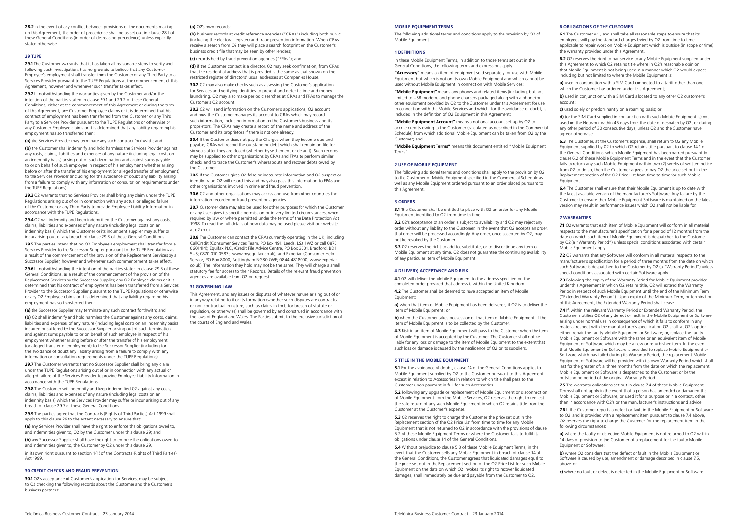28.2 In the event of any conflict between provisions of the documents making up this Agreement, the order of precedence shall be as set out in clause 28.1 of these General Conditions (in order of decreasing precedence) unless explicitly stated otherwise.

#### 29 TUPE

291 The Customer warrants that it has taken all reasonable steps to verify and following such investigation, has no grounds to believe that any Customer Employee's employment shall transfer from the Customer or any Third Party to a Services Provider pursuant to the TUPE Regulations at the commencement of this Agreement, however and whenever such transfer takes effect.

29.2 If, notwithstanding the warranties given by the Customer and/or the intention of the parties stated in clause 29.1 and 29.2 of these General Conditions, either at the commencement of this Agreement or during the term of this Agreement, any Customer Employee claims or it is determined that his contract of employment has been transferred from the Customer or any Third Party to a Services Provider pursuant to the TUPE Regulations or otherwise or any Customer Employee claims or it is determined that any liability regarding his employment has so transferred then:

(a) the Services Provider may terminate any such contract forthwith; and

(b) the Customer shall indemnify and hold harmless the Services Provider against any costs, claims, liabilities and expenses of any nature (including legal costs on an indemnity basis) arising out of such termination and against sums payable to or on behalf of such employee in respect of his employment whether arising before or after the transfer of his employment (or alleged transfer of employment) to the Services Provider (including for the avoidance of doubt any liability arising from a failure to comply with any information or consultation requirements under the TUPE Regulations).

29.3 O2 warrants that no Services Provider shall bring any claim under the TUPE Regulations arising out of or in connection with any actual or alleged failure of the Customer or any Third Party to provide Employee Liability Information in accordance with the TUPE Regulations.

29.4 O2 will indemnify and keep indemnified the Customer against any costs, claims, liabilities and expenses of any nature (including legal costs on an indemnity basis) which the Customer or its incumbent supplier may suffer or incur arising out of any breach of clause 29.3 of these General Conditions.

29.5 The parties intend that no O2 Employee's employment shall transfer from a Services Provider to the Successor Supplier pursuant to the TUPE Regulations as a result of the commencement of the provision of the Replacement Services by a Successor Supplier, however and whenever such commencement takes effect.

29.6 If, notwithstanding the intention of the parties stated in clause 29.5 of these General Conditions, as a result of the commencement of the provision of the Replacement Services by the Successor Supplier, any O2 Employee claims or it is determined that his contract of employment has been transferred from a Services Provider to the Successor Supplier pursuant to the TUPE Regulations or otherwise or any O2 Employee claims or it is determined that any liability regarding his employment has so transferred then:

(a) the Successor Supplier may terminate any such contract forthwith; and

(b) O2 shall indemnify and hold harmless the Customer against any costs, claims, liabilities and expenses of any nature (including legal costs on an indemnity basis) incurred or suffered by the Successor Supplier arising out of such termination and against sums payable to or on behalf of such employee in respect of his employment whether arising before or after the transfer of his employment (or alleged transfer of employment) to the Successor Supplier (including for the avoidance of doubt any liability arising from a failure to comply with any information or consultation requirements under the TUPE Regulations).

29.7 The Customer warrants that no Successor Supplier shall bring any claim under the TUPE Regulations arising out of or in connection with any actual or alleged failure of the Services Provider to provide Employee Liability Information in accordance with the TUPE Regulations.

29.8 The Customer will indemnify and keep indemnified 02 against any costs claims, liabilities and expenses of any nature (including legal costs on an indemnity basis) which the Services Provider may suffer or incur arising out of any breach of clause 29.7 of these General Conditions.

29.9 The parties agree that the Contracts (Rights of Third Parties) Act 1999 shall apply to this clause 29 to the extent necessary to ensure that:

(a) any Services Provider shall have the right to enforce the obligations owed to, and indemnities given to, O2 by the Customer under this clause 29; and

(b) any Successor Supplier shall have the right to enforce the obligations owed to. and indemnities given to, the Customer by O2 under this clause 29, in its own right pursuant to section 1(1) of the Contracts (Rights of Third Parties)

Act 1999.

## 30 CREDIT CHECKS AND FRAUD PREVENTION

30.1 O2's acceptance of Customer's application for Services, may be subject to O2 checking the following records about the Customer and the Customer's business partners:

#### (a) O2's own records;

(b) business records at credit reference agencies ("CRAs") including both public (including the electoral register) and fraud prevention information. When CRAs receive a search from O2 they will place a search footprint on the Customer's business credit file that may be seen by other lenders;

(c) records held by fraud prevention agencies ("FPAs"); and

(d) if the Customer contact is a director, O2 may seek confirmation, from CRAs that the residential address that is provided is the same as that shown on the restricted register of directors' usual addresses at Companies House.

30.2 O<sub>2</sub> may also make checks such as assessing the Customer's application for Services and verifying identities to prevent and detect crime and money laundering. O2 may also make periodic searches at CRAs and FPAs to manage the Customer's O2 account.

30.3 O2 will send information on the Customer's applications, O2 account and how the Customer manages its account to CRAs which may record such information, including information on the Customer's business and its proprietors. The CRAs may create a record of the name and address of the Customer and its proprietors if there is not one already.

30.4 If the Customer does not pay the Charges when they become due and payable, CRAs will record the outstanding debt which shall remain on file for six years after they are closed (whether by settlement or default). Such records may be supplied to other organisations by CRAs and FPAs to perform similar checks and to trace the Customer's whereabouts and recover debts owed by the Customer.

30.5 If the Customer gives O2 false or inaccurate information and O2 suspect or identify fraud O2 will record this and may also pass this information to FPAs and other organisations involved in crime and fraud prevention.

30.6 O2 and other organisations may access and use from other countries the information recorded by fraud prevention agencies.

30.7 Customer data may also be used for other purposes for which the Customer or any User gives its specific permission or, in very limited circumstances, when required by law or where permitted under the terms of the Data Protection Act 1998. To read the full details of how data may be used please visit our website at o2.co.uk.

30.8 The Customer can contact the CRAs currently operating in the UK, including CallCredit (Consumer Services Team, PO Box 491, Leeds, LS3 1WZ or call 0870 0601414); Equifax PLC, (Credit File Advice Centre, PO Box 3001, Bradford, BD1 5US; 0870 010 0583; www.myequifax.co.uk); and Experian (Consumer Help Service, PO Box 8000, Nottingham NG80 7WF; 0844 4818000; www.experian. co.uk). The information they hold may not be the same. They will charge a small statutory fee for access to their Records. Details of the relevant fraud prevention agencies are available from O2 on request.

#### 31 GOVERNING LAW

This Agreement, and any issues or disputes of whatever nature arising out of or in any way relating to it or its formation (whether such disputes are contractual or non-contractual in nature, such as claims in tort, for breach of statute or regulation, or otherwise) shall be governed by and construed in accordance with the laws of England and Wales. The Parties submit to the exclusive jurisdiction of the courts of England and Wales.

## MOBILE EQUIPMENT TERMS

The following additional terms and conditions apply to the provision by O2 of Mobile Equipment.

#### 1 DEFINITIONS

In these Mobile Equipment Terms, in addition to those terms set out in the General Conditions, the following terms and expressions apply:

"Accessory" means an item of equipment sold separately for use with Mobile Equipment but which is not on its own Mobile Equipment and which cannot be used without Mobile Equipment in connection with Mobile Services;

"Mobile Equipment" means any phones and related items (including, but not limited to USB modems and phone chargers packaged along with a phone) or other equipment provided by O2 to the Customer under this Agreement for use in connection with the Mobile Services and which, for the avoidance of doubt, is included in the definition of O2 Equipment in this Agreement

"Mobile Equipment Account" means a notional account set up by O2 to accrue credits owing to the Customer (calculated as described in the Commercial Schedule) from which additional Mobile Equipment can be taken from O2 by the Customer; and

"Mobile Equipment Terms" means this document entitled "Mobile Equipment Terms".

## 2 USE OF MOBILE EQUIPMENT

The following additional terms and conditions shall apply to the provision by O2 to the Customer of Mobile Equipment specified in the Commercial Schedule as well as any Mobile Equipment ordered pursuant to an order placed pursuant to this Agreement.

## 3 ORDERS

3.1 The Customer shall be entitled to place with O2 an order for any Mobile Equipment identified by O2 from time to time.

3.2 O2's acceptance of an order is subject to availability and O2 may reject any order without any liability to the Customer. In the event that O2 accepts an order, that order will be processed accordingly. Any order, once accepted by O2, may not be revoked by the Customer.

3.3 O2 reserves the right to add to, substitute, or to discontinue any item of Mobile Equipment at any time. O2 does not guarantee the continuing availability of any particular item of Mobile Equipment.

#### 4 DELIVERY, ACCEPTANCE AND RISK

4.1 O2 will deliver the Mobile Equipment to the address specified on the completed order provided that address is within the United Kingdom.

4.2 The Customer shall be deemed to have accepted an item of Mobile Equipment:

a) when that item of Mobile Equipment has been delivered, if O2 is to deliver the item of Mobile Equipment; or

b) when the Customer takes possession of that item of Mobile Equipment, if the item of Mobile Equipment is to be collected by the Customer.

4.3 Risk in an item of Mobile Equipment will pass to the Customer when the item of Mobile Equipment is accepted by the Customer. The Customer shall not be liable for any loss or damage to the item of Mobile Equipment to the extent that such loss or damage is caused by the negligence of O2 or its suppliers.

#### 5 TITLE IN THE MOBILE EQUIPMENT

5.1 For the avoidance of doubt, clause 14 of the General Conditions applies to Mobile Equipment supplied by O2 to the Customer pursuant to this Agreement, except in relation to Accessories in relation to which title shall pass to the Customer upon payment in full for such Accessories.

5.2 Following any upgrade or replacement of Mobile Equipment or disconnection of Mobile Equipment from the Mobile Services, O2 reserves the right to request the safe return of any such Mobile Equipment in which O2 retains title from the Customer at the Customer's expense.

5.3 O2 reserves the right to charge the Customer the price set out in the Replacement section of the O2 Price List from time to time for any Mobile Equipment that is not returned to O2 in accordance with the provisions of clause 5.2 of these Mobile Equipment Terms or where the Customer fails to fulfil its obligations under clause 14 of the General Conditions.

5.4 Without prejudice to clause 5.3 of these Mobile Equipment Terms, in the event that the Customer sells any Mobile Equipment in breach of clause 14 of the General Conditions, the Customer agrees that liquidated damages equal to the price set out in the Replacement section of the O2 Price List for such Mobile Equipment on the date on which O2 invokes its right to recover liquidated damages, shall immediately be due and payable from the Customer to O2.

## 6 OBLIGATIONS OF THE CUSTOMER

6.1 The Customer will, and shall take all reasonable steps to ensure that its employees will pay the standard charges levied by O2 from time to time applicable to repair work on Mobile Equipment which is outside (in scope or time) the warranty provided under this Agreement.

6.2 O<sub>2</sub> reserves the right to bar service to any Mobile Equipment supplied under this Agreement to which O2 retains title where in O2's reasonable opinion that Mobile Equipment is not being used in a manner which O2 would expect including but not limited to where the Mobile Equipment is:

a) used in conjunction with a SIM Card connected to a tariff other than one which the Customer has ordered under this Agreement;

b) used in conjunction with a SIM Card allocated to any other O2 customer's account;

c) used solely or predominantly on a roaming basis; or

d) (or the SIM Card supplied in conjunction with such Mobile Equipment is) not used on the Network within 45 days from the date of despatch by O2, or during any other period of 30 consecutive days; unless O2 and the Customer have agreed otherwise.

6.3 The Customer, at the Customer's expense, shall return to O2 any Mobile Equipment supplied by O2 to which O2 retains title pursuant to clause 14.1 of the General Conditions, which Mobile Equipment has been barred pursuant to clause 6.2 of these Mobile Equipment Terms and in the event that the Customer fails to return any such Mobile Equipment within two (2) weeks of written notice from O2 to do so, then the Customer agrees to pay O2 the price set out in the Replacement section of the O2 Price List from time to time for such Mobile Equipment.

6.4 The Customer shall ensure that their Mobile Equipment is up to date with the latest available version of the manufacturer's Software. Any failure by the Customer to ensure their Mobile Equipment Software is maintained on the latest version may result in performance issues which O2 shall not be liable for.

#### 7 WARRANTIES

7.1 O2 warrants that each item of Mobile Equipment will conform in all material respects to the manufacturer's specification for a period of 12 months from the date on which such item of Mobile Equipment is despatched to the Customer by O2 (a "Warranty Period") unless special conditions associated with certain Mobile Equipment apply.

7.2 O2 warrants that any Software will conform in all material respects to the manufacturer's specification for a period of three months from the date on which such Software is despatched to the Customer by O2 (a "Warranty Period") unless special conditions associated with certain Software apply.

7.3 Following the expiry of the Warranty Period for Mobile Equipment provided under this Agreement in which O2 retains title, O2 will extend the Warranty Period in respect of such Mobile Equipment until the end of the Minimum Term ("Extended Warranty Period"). Upon expiry of the Minimum Term, or termination of this Agreement, the Extended Warranty Period shall cease.

7.4 If, within the relevant Warranty Period or Extended Warranty Period, the Customer notifies O2 of any defect or fault in the Mobile Equipment or Software arising under normal use in consequence of which it fails to conform in any material respect with the manufacturer's specification O2 shall, at O2's option either: repair the faulty Mobile Equipment or Software; or, replace the faulty Mobile Equipment or Software with the same or an equivalent item of Mobile Equipment or Software which may be a new or refurbished item. In the event that Mobile Equipment or Software is provided to replace Mobile Equipment or Software which has failed during its Warranty Period, the replacement Mobile Equipment or Software will be provided with its own Warranty Period which shall last for the greater of: a) three months from the date on which the replacement Mobile Equipment or Software is despatched to the Customer; or b) the outstanding period of the original Warranty Period.

7.5 The warranty obligations set out in clause 7.4 of these Mobile Equipment Terms shall not apply in the event that a person has amended or damaged the Mobile Equipment or Software, or used it for a purpose or in a context, other than in accordance with O2's or the manufacturer's instructions and advice.

7.6 If the Customer reports a defect or fault in the Mobile Equipment or Software to O2, and is provided with a replacement item pursuant to clause 74 above. O2 reserves the right to charge the Customer for the replacement item in the following circumstances:

a) where the faulty or defective Mobile Equipment is not returned to O2 within 14 days of provision to the Customer of a replacement for the faulty Mobile Equipment or Software;

b) where O2 considers that the defect or fault in the Mobile Equipment or Software is caused by use, amendment or damage described in clause 7.5, above; or

c) where no fault or defect is detected in the Mobile Equipment or Software.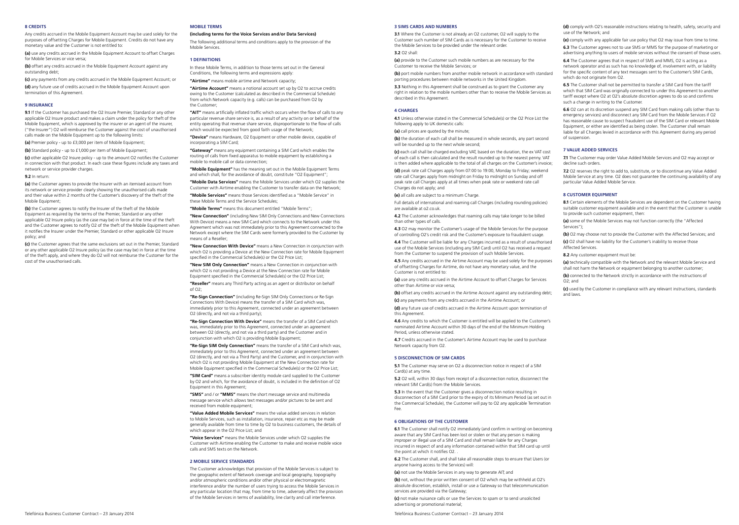## 8 CREDITS

Any credits accrued in the Mobile Equipment Account may be used solely for the purposes of offsetting Charges for Mobile Equipment. Credits do not have any monetary value and the Customer is not entitled to:

(a) use any credits accrued in the Mobile Equipment Account to offset Charges for Mobile Services or vice versa;

(b) offset any credits accrued in the Mobile Equipment Account against any outstanding debt;

(c) any payments from any credits accrued in the Mobile Equipment Account; or (d) any future use of credits accrued in the Mobile Equipment Account upon termination of this Agreement.

#### 9 INSURANCE

9.1 If the Customer has purchased the O2 Insure Premier, Standard or any other applicable O2 Insure product and makes a claim under the policy for theft of the Mobile Equipment, which is approved by the insurer or an agent of the insurer, ("the Insurer") O2 will reimburse the Customer against the cost of unauthorised calls made on the Mobile Equipment up to the following limits:

(a) Premier policy - up to £3,000 per item of Mobile Equipment;

(b) Standard policy - up to £1,000 per item of Mobile Equipment; (c) other applicable O2 Insure policy - up to the amount O2 notifies the Customer in connection with that product. In each case these figures include any taxes and network or service provider charges.

#### 9.2 In return:

(a) the Customer agrees to provide the Insurer with an itemised account from its network or service provider clearly showing the unauthorised calls made and their value within 2 months of the Customer's discovery of the theft of the Mobile Equipment;

(b) the Customer agrees to notify the Insurer of the theft of the Mobile Equipment as required by the terms of the Premier, Standard or any other applicable O2 Insure policy (as the case may be) in force at the time of the theft and the Customer agrees to notify O2 of the theft of the Mobile Equipment when it notifies the Insurer under the Premier, Standard or other applicable O2 Insure policy; and

(c) the Customer agrees that the same exclusions set out in the Premier, Standard or any other applicable O2 Insure policy (as the case may be) in force at the time of the theft apply, and where they do O2 will not reimburse the Customer for the cost of the unauthorised calls.

## MOBILE TERMS

(including terms for the Voice Services and/or Data Services)

The following additional terms and conditions apply to the provision of the Mobile Services.

#### 1 DEFINITIONS

In these Mobile Terms, in addition to those terms set out in the General Conditions, the following terms and expressions apply:

"Airtime" means mobile airtime and Network capacity;

"Airtime Account" means a notional account set up by O2 to accrue credits owing to the Customer (calculated as described in the Commercial Schedule) from which Network capacity (e.g. calls) can be purchased from O2 by the Customer;

"AIT" means artificially inflated traffic which occurs when the flow of calls to any particular revenue share service is, as a result of any activity on or behalf of the entity operating that revenue share service, disproportionate to the flow of calls which would be expected from good faith usage of the Network;

"Device" means Hardware, O2 Equipment or other mobile device, capable of incorporating a SIM Card;

"Gateway" means any equipment containing a SIM Card which enables the routing of calls from fixed apparatus to mobile equipment by establishing a mobile to mobile call or data connection;

"Mobile Equipment" has the meaning set out in the Mobile Equipment Terms and which shall, for the avoidance of doubt, constitute "O2 Fquipment";

"Mobile Data Services" means the Mobile Services under which O2 supplies the Customer with Airtime enabling the Customer to transfer data on the Network; "Mobile Services" means those Services identified as a "Mobile Service" in these Mobile Terms and the Service Schedules;

"Mobile Terms" means this document entitled "Mobile Terms";

"New Connection" (including New SIM Only Connections and New Connections With Device) means a new SIM Card which connects to the Network under this Agreement which was not immediately prior to this Agreement connected to the Network except where the SIM Cards were formerly provided to the Customer by means of a Reseller;

"New Connection With Device" means a New Connection in conjunction with which O2 is providing a Device at the New Connection rate for Mobile Equipment specified in the Commercial Schedule(s) or the O2 Price List;

"New SIM Only Connection" means a New Connection in conjunction with which O2 is not providing a Device at the New Connection rate for Mobile Equipment specified in the Commercial Schedule(s) or the O2 Price List;

"Reseller" means any Third Party acting as an agent or distributor on behalf  $of O2$ 

"Re-Sign Connection" (including Re-Sign SIM Only Connections or Re-Sign Connections With Device) means the transfer of a SIM Card which was, immediately prior to this Agreement, connected under an agreement between O2 (directly, and not via a third party);

"Re-Sign Connection With Device" means the transfer of a SIM Card which was, immediately prior to this Agreement, connected under an agreement between O2 (directly, and not via a third party) and the Customer and in conjunction with which O2 is providing Mobile Equipment;

"Re-Sign SIM Only Connection" means the transfer of a SIM Card which was, immediately prior to this Agreement, connected under an agreement between O2 (directly, and not via a Third Party) and the Customer, and in conjunction with which O2 is not providing Mobile Equipment at the New Connection rate for Mobile Equipment specified in the Commercial Schedule(s) or the O2 Price List;

"SIM Card" means a subscriber identity module card supplied to the Customer by O2 and which, for the avoidance of doubt, is included in the definition of O2 Equipment in this Agreement:

"SMS" and / or "MMS" means the short message service and multimedia message service which allows text messages and/or pictures to be sent and received from mobile equipment;

"Value Added Mobile Services" means the value added services in relation to Mobile Services, such as installation, insurance, repair etc as may be made generally available from time to time by O2 to business customers, the details of which appear in the O2 Price List; and

"Voice Services" means the Mobile Services under which O2 supplies the Customer with Airtime enabling the Customer to make and receive mobile voice calls and SMS texts on the Network.

## 2 MOBILE SERVICE STANDARDS

The Customer acknowledges that provision of the Mobile Services is subject to the geographic extent of Network coverage and local geography, topography and/or atmospheric conditions and/or other physical or electromagnetic interference and/or the number of users trying to access the Mobile Services in any particular location that may, from time to time, adversely affect the provision of the Mobile Services in terms of availability, line clarity and call interference.

## 3 SIMS CARDS AND NUMBERS

3.1 Where the Customer is not already an O2 customer, O2 will supply to the Customer such number of SIM Cards as is necessary for the Customer to receive the Mobile Services to be provided under the relevant order.

3.2 O2 shall:

(a) provide to the Customer such mobile numbers as are necessary for the Customer to receive the Mobile Services; or

(b) port mobile numbers from another mobile network in accordance with standard porting procedures between mobile networks in the United Kingdom.

3.3 Nothing in this Agreement shall be construed as to grant the Customer any right in relation to the mobile numbers other than to receive the Mobile Services as described in this Agreement.

## 4 CHARGES

4.1 Unless otherwise stated in the Commercial Schedule(s) or the O2 Price List the following apply to UK domestic calls:

(a) call prices are quoted by the minute:

(b) the duration of each call shall be measured in whole seconds, any part second will be rounded up to the next whole second:

(c) each call shall be charged excluding VAT, based on the duration, the ex VAT cost of each call is then calculated and the result rounded up to the nearest penny. VAT is then added where applicable to the total of all charges on the Customer's invoice;

(d) peak rate call Charges apply from 07:00 to 19:00, Monday to Friday; weekend rate call Charges apply from midnight on Friday to midnight on Sunday and off peak rate call Charges apply at all times when peak rate or weekend rate call Charges do not apply; and

(e) all calls are subject to a minimum Charge.

Full details of international and roaming call Charges (including rounding policies) are available at o2.co.uk.

4.2 The Customer acknowledges that roaming calls may take longer to be billed than other types of calls.

4.3 O2 may monitor the Customer's usage of the Mobile Services for the purpose of controlling O2's credit risk and the Customer's exposure to fraudulent usage.

4.4 The Customer will be liable for any Charges incurred as a result of unauthorised use of the Mobile Services (including any SIM Card) until O2 has received a request from the Customer to suspend the provision of such Mobile Services.

4.5 Any credits accrued in the Airtime Account may be used solely for the purposes of offsetting Charges for Airtime, do not have any monetary value, and the Customer is not entitled to:

(a) use any credits accrued in the Airtime Account to offset Charges for Services other than Airtime or vice versa;

(b) offset any credits accrued in the Airtime Account against any outstanding debt; (c) any payments from any credits accrued in the Airtime Account; or

(d) any future use of credits accrued in the Airtime Account upon termination of this Agreement.

4.6 Any credits to which the Customer is entitled will be applied to the Customer's nominated Airtime Account within 30 days of the end of the Minimum Holding Period, unless otherwise stated.

4.7 Credits accrued in the Customer's Airtime Account may be used to purchase Network capacity from O2.

#### 5 DISCONNECTION OF SIM CARDS

5.1 The Customer may serve on O2 a disconnection notice in respect of a SIM Card(s) at any time.

5.2 O2 will, within 30 days from receipt of a disconnection notice, disconnect the relevant SIM Card(s) from the Mobile Services.

5.3 In the event that the Customer gives a disconnection notice resulting in disconnection of a SIM Card prior to the expiry of its Minimum Period (as set out in the Commercial Schedule), the Customer will pay to O2 any applicable Termination Fee.

#### 6 OBLIGATIONS OF THE CUSTOMER

6.1 The Customer shall notify O2 immediately (and confirm in writing) on becoming aware that any SIM Card has been lost or stolen or that any person is making improper or illegal use of a SIM Card and shall remain liable for any Charges incurred in respect of and any information contained within that SIM card up until the point at which it notifies O2. .

6.2 The Customer shall, and shall take all reasonable steps to ensure that Users (or anyone having access to the Services) will:

(a) not use the Mobile Services in any way to generate AIT; and

(b) not, without the prior written consent of O2 which may be withheld at O2's absolute discretion, establish, install or use a Gateway so that telecommunication services are provided via the Gateway;

(c) not make nuisance calls or use the Services to spam or to send unsolicited advertising or promotional material;

Telefónica Business Customer Contract – 23 January 2014 Telefónica Business Customer Contract – 23 January 2014

(d) comply with O2's reasonable instructions relating to health, safety, security and use of the Network; and

(e) comply with any applicable fair use policy that O2 may issue from time to time. 6.3 The Customer agrees not to use SMS or MMS for the purpose of marketing or advertising anything to users of mobile services without the consent of those users.

6.4 The Customer agrees that in respect of SMS and MMS, O2 is acting as a network operator and as such has no knowledge of, involvement with, or liability for the specific content of any text messages sent to the Customer's SIM Cards, which do not originate from O<sub>2</sub>.

6.5 The Customer shall not be permitted to transfer a SIM Card from the tariff which that SIM Card was originally connected to under this Agreement to another tariff except where O2 at O2's absolute discretion agrees to do so and confirms such a change in writing to the Customer.

6.6 O2 can at its discretion suspend any SIM Card from making calls (other than to emergency services) and disconnect any SIM Card from the Mobile Services if O2 has reasonable cause to suspect fraudulent use of the SIM Card or relevant Mobile Equipment, or either are identified as being stolen. The Customer shall remain liable for all Charges levied in accordance with this Agreement during any period of suspension.

#### 7 VALUE ADDED SERVICES

7.1 The Customer may order Value Added Mobile Services and O2 may accept or decline such orders.

7.2 O2 reserves the right to add to, substitute, or to discontinue any Value Added Mobile Service at any time. O2 does not guarantee the continuing availability of any particular Value Added Mobile Service.

## 8 CUSTOMER EQUIPMENT

8.1 Certain elements of the Mobile Services are dependent on the Customer having suitable customer equipment available and in the event that the Customer is unable to provide such customer equipment, then:

(a) some of the Mobile Services may not function correctly (the "Affected Services");

(b) O2 may choose not to provide the Customer with the Affected Services; and

(c) O2 shall have no liability for the Customer's inability to receive those Affected Services.

8.2 Any customer equipment must be:

(a) technically compatible with the Network and the relevant Mobile Service and shall not harm the Network or equipment belonging to another customer;

(b) connected to the Network strictly in accordance with the instructions of O2; and

(c) used by the Customer in compliance with any relevant instructions, standards and laws.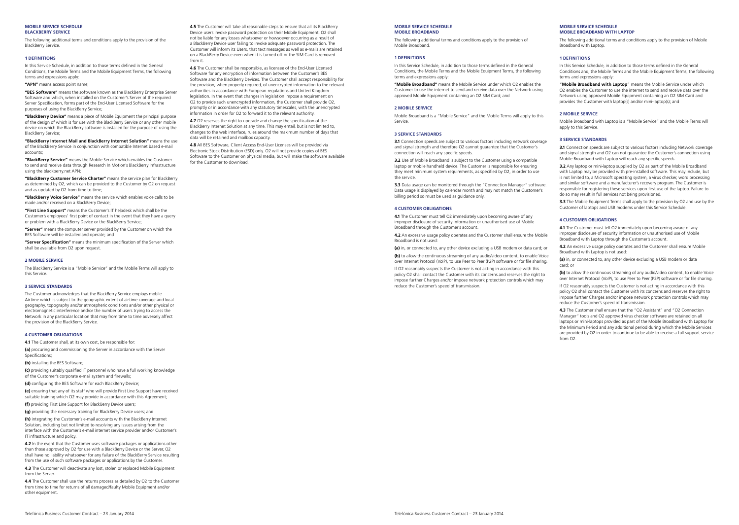#### MOBILE SERVICE SCHEDULE BLACKBERRY SERVICE

The following additional terms and conditions apply to the provision of the BlackBerry Service.

#### 1 DEFINITIONS

In this Service Schedule, in addition to those terms defined in the General Conditions, the Mobile Terms and the Mobile Equipment Terms, the following terms and expressions apply:

## "APN" means access point name:

"BES Software" means the software known as the BlackBerry Enterprise Server Software and which, when installed on the Customer's Server of the required Server Specification, forms part of the End-User Licensed Software for the purposes of using the BlackBerry Service;

"BlackBerry Device" means a piece of Mobile Equipment the principal purpose of the design of which is for use with the BlackBerry Service or any other mobile device on which the BlackBerry software is installed for the purpose of using the BlackBerry Service;

"BlackBerry Internet Mail and BlackBerry Internet Solution" means the use of the BlackBerry Service in conjunction with compatible Internet based e-mail accounts;

"BlackBerry Service" means the Mobile Service which enables the Customer to send and receive data through Research In Motion's BlackBerry Infrastructure using the blackberry.net APN;

"BlackBerry Customer Service Charter" means the service plan for BlackBerry as determined by O2, which can be provided to the Customer by O2 on request and as updated by O2 from time to time;

"BlackBerry Voice Service" means the service which enables voice calls to be made and/or received on a BlackBerry Device;

"First Line Support" means the Customer's IT helpdesk which shall be the Customer's employees' first point of contact in the event that they have a query or problem with a BlackBerry Device or the BlackBerry Service;

"Server" means the computer server provided by the Customer on which the BES Software will be installed and operate; and

"Server Specification" means the minimum specification of the Server which shall be available from O2 upon request.

#### 2 MOBILE SERVICE

The BlackBerry Service is a "Mobile Service" and the Mobile Terms will apply to this Service.

#### 3 SERVICE STANDARDS

The Customer acknowledges that the BlackBerry Service employs mobile Airtime which is subject to the geographic extent of airtime coverage and local geography, topography and/or atmospheric conditions and/or other physical or electromagnetic interference and/or the number of users trying to access the Network in any particular location that may from time to time adversely affect the provision of the BlackBerry Service.

## 4 CUSTOMER OBLIGATIONS

4.1 The Customer shall, at its own cost, be responsible for:

(a) procuring and commissioning the Server in accordance with the Server Specifications;

(b) installing the BES Software;

(c) providing suitably qualified IT personnel who have a full working knowledge of the Customer's corporate e-mail system and firewalls;

(d) configuring the BES Software for each BlackBerry Device;

(e) ensuring that any of its staff who will provide First Line Support have received suitable training which O2 may provide in accordance with this Agreement;

(f) providing First Line Support for BlackBerry Device users;

(g) providing the necessary training for BlackBerry Device users; and (h) integrating the Customer's e-mail accounts with the BlackBerry Internet Solution, including but not limited to resolving any issues arising from the interface with the Customer's e-mail internet service provider and/or Customer's IT infrastructure and policy.

4.2 In the event that the Customer uses software packages or applications other than those approved by O2 for use with a BlackBerry Device or the Server, O2 shall have no liability whatsoever for any failure of the BlackBerry Service resulting from the use of such software packages or applications by the Customer.

4.3 The Customer will deactivate any lost, stolen or replaced Mobile Equipment from the Server.

4.4 The Customer shall use the returns process as detailed by O2 to the Customer from time to time for returns of all damaged/faulty Mobile Equipment and/or other equipment.

4.6 The Customer shall be responsible, as licensee of the End-User Licensed Software for any encryption of information between the Customer's BES Software and the BlackBerry Devices. The Customer shall accept responsibility for the provision, when properly required, of unencrypted information to the relevant authorities in accordance with European regulations and United Kingdom legislation. In the event that changes in legislation impose a requirement on O<sub>2</sub> to provide such unencrypted information, the Customer shall provide O<sub>2</sub> promptly or in accordance with any statutory timescales, with the unencrypted information in order for O2 to forward it to the relevant authority.

4.7 O2 reserves the right to upgrade and change the specification of the BlackBerry Internet Solution at any time. This may entail, but is not limited to, changes to the web interface, rules around the maximum number of days that data will be retained and mailbox capacity.

4.8 All BES Software, Client Access End-User Licenses will be provided via Electronic Stock Distribution (ESD) only. O2 will not provide copies of BES Software to the Customer on physical media, but will make the software available for the Customer to download.

## MOBILE SERVICE SCHEDULE MOBILE BROADBAND

The following additional terms and conditions apply to the provision of Mobile Broadband.

#### 1 DEFINITIONS

In this Service Schedule, in addition to those terms defined in the General Conditions, the Mobile Terms and the Mobile Equipment Terms, the following terms and expressions apply:

"Mobile Broadband" means the Mobile Service under which O2 enables the Customer to use the internet to send and receive data over the Network using approved Mobile Equipment containing an O2 SIM Card; and

## 2 MOBILE SERVICE

Mobile Broadband is a "Mobile Service" and the Mobile Terms will apply to this Service.

## 3 SERVICE STANDARDS

3.1 Connection speeds are subject to various factors including network coverage and signal strength and therefore O2 cannot guarantee that the Customer's connection will reach any specific speeds.

3.2 Use of Mobile Broadband is subject to the Customer using a compatible laptop or mobile handheld device. The Customer is responsible for ensuring they meet minimum system requirements, as specified by O2, in order to use the service.

3.3 Data usage can be monitored through the "Connection Manager" software. Data usage is displayed by calendar month and may not match the Customer's billing period so must be used as guidance only.

## 4 CUSTOMER OBLIGATIONS

4.1 The Customer must tell O2 immediately upon becoming aware of any improper disclosure of security information or unauthorised use of Mobile Broadband through the Customer's account.

4.2 An excessive usage policy operates and the Customer shall ensure the Mobile Broadband is not used:

(a) in, or connected to, any other device excluding a USB modem or data card; or

(b) to allow the continuous streaming of any audio/video content, to enable Voice over Internet Protocol (VoIP), to use Peer to Peer (P2P) software or for file sharing.

If O2 reasonably suspects the Customer is not acting in accordance with this policy O2 shall contact the Customer with its concerns and reserves the right to impose further Charges and/or impose network protection controls which may reduce the Customer's speed of transmission.

#### MOBILE SERVICE SCHEDULE MOBILE BROADBAND WITH LAPTOP

The following additional terms and conditions apply to the provision of Mobile Broadband with Laptop.

#### 1 DEFINITIONS

In this Service Schedule, in addition to those terms defined in the General Conditions and, the Mobile Terms and the Mobile Equipment Terms, the following terms and expressions apply:

"Mobile Broadband with Laptop" means the Mobile Service under which O<sub>2</sub> enables the Customer to use the internet to send and receive data over the Network using approved Mobile Equipment containing an O2 SIM Card and provides the Customer with laptop(s) and/or mini-laptop(s); and

## 2 MOBILE SERVICE

Mobile Broadband with Laptop is a "Mobile Service" and the Mobile Terms will apply to this Service.

## 3 SERVICE STANDARDS

3.1 Connection speeds are subject to various factors including Network coverage and signal strength and O2 can not guarantee the Customer's connection using Mobile Broadband with Laptop will reach any specific speeds.

3.2 Any laptop or mini-laptop supplied by O2 as part of the Mobile Broadband with Laptop may be provided with pre-installed software. This may include, but is not limited to, a Microsoft operating system, a virus checker, word processing and similar software and a manufacturer's recovery program. The Customer is responsible for registering these services upon first use of the laptop. Failure to do so may result in full services not being provisioned.

3.3 The Mobile Equipment Terms shall apply to the provision by O2 and use by the Customer of laptops and USB modems under this Service Schedule.

### 4 CUSTOMER OBLIGATIONS

4.1 The Customer must tell O2 immediately upon becoming aware of any improper disclosure of security information or unauthorised use of Mobile Broadband with Laptop through the Customer's account.

4.2 An excessive usage policy operates and the Customer shall ensure Mobile Broadband with Laptop is not used:

(a) in, or connected to, any other device excluding a USB modem or data card; or

(b) to allow the continuous streaming of any audio/video content, to enable Voice over Internet Protocol (VoIP), to use Peer to Peer (P2P) software or for file sharing.

If O2 reasonably suspects the Customer is not acting in accordance with this policy O2 shall contact the Customer with its concerns and reserves the right to impose further Charges and/or impose network protection controls which may reduce the Customer's speed of transmission.

4.3 The Customer shall ensure that the "O2 Assistant" and "O2 Connection Manager" tools and O2 approved virus checker software are retained on all laptops or mini-laptops provided as part of the Mobile Broadband with Laptop for the Minimum Period and any additional period during which the Mobile Services are provided by O2 in order to continue to be able to receive a full support service from  $\Omega$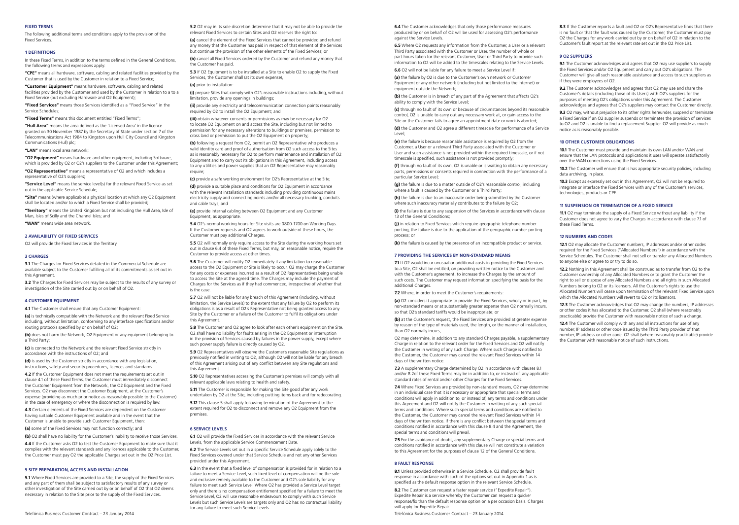## FIXED TERMS

The following additional terms and conditions apply to the provision of the Fixed Services.

## 1 DEFINITIONS

In these Fixed Terms, in addition to the terms defined in the General Conditions, the following terms and expressions apply:

"CPE" means all hardware, software, cabling and related facilities provided by the Customer that is used by the Customer in relation to a Fixed Service;

"Customer Equipment" means hardware, software, cabling and related facilities provided by the Customer and used by the Customer in relation to a to a Fixed Service (but excluding Hardware and O2 Equipment);

"Fixed Services" means those Services identified as a "Fixed Service" in the Service Schedules;

"Fixed Terms" means this document entitled "Fixed Terms";

"Hull Area" means the area defined as the 'Licensed Area' in the licence granted on 30 November 1987 by the Secretary of State under section 7 of the Telecommunications Act 1984 to Kingston upon Hull City Council and Kingston Communications (Hull) plc;

#### "LAN" means local area network

"O2 Equipment" means hardware and other equipment, including Software, which is provided by O2 or O2's suppliers to the Customer under this Agreement;

"O2 Representative" means a representative of O2 and which includes a representative of O2's suppliers;

"Service Level" means the service level(s) for the relevant Fixed Service as set out in the applicable Service Schedule;

"Site" means (where applicable) a physical location at which any O2 Equipment shall be located and/or to which a Fixed Service shall be provided;

"Territory" means the United Kingdom but not including the Hull Area, Isle of Man, Isles of Scilly and the Channel Isles; and

"WAN" means wide area network.

#### 2 AVAILABILITY OF FIXED SERVICES

O2 will provide the Fixed Services in the Territory.

## 3 CHARGES

3.1 The Charges for Fixed Services detailed in the Commercial Schedule are available subject to the Customer fulfilling all of its commitments as set out in this Agreement

3.2 The Charges for Fixed Services may be subject to the results of any survey or investigation of the Site carried out by or on behalf of O2.

## 4 CUSTOMER EQUIPMENT

4.1 The Customer shall ensure that any Customer Equipment:

(a) is technically compatible with the Network and the relevant Fixed Service including, without limitation, conforming to any interface specifications and/or routing protocols specified by or on behalf of O2;

(b) does not harm the Network, O2 Equipment or any equipment belonging to a Third Party;

(c) is connected to the Network and the relevant Fixed Service strictly in accordance with the instructions of O2; and

(d) is used by the Customer strictly in accordance with any legislation. instructions, safety and security procedures, licences and standards.

4.2 If the Customer Equipment does not meet the requirements set out in clause 4.1 of these Fixed Terms, the Customer must immediately disconnect the Customer Equipment from the Network, the O2 Equipment and the Fixed Services. O2 may disconnect the Customer Equipment, at the Customer's expense (providing as much prior notice as reasonably possible to the Customer) in the case of emergency or where the disconnection is required by law.

4.3 Certain elements of the Fixed Services are dependent on the Customer having suitable Customer Equipment available and in the event that the Customer is unable to provide such Customer Equipment, then:

(a) some of the Fixed Services may not function correctly; and

(b) O2 shall have no liability for the Customer's inability to receive those Services.

4.4 If the Customer asks O2 to test the Customer Equipment to make sure that it complies with the relevant standards and any licences applicable to the Customer, the Customer must pay O2 the applicable Charges set out in the O2 Price List.

## 5 SITE PREPARATION, ACCESS AND INSTALLATION

5.1 Where Fixed Services are provided to a Site, the supply of the Fixed Services and any part of them shall be subject to satisfactory results of any survey or other investigation of the Site carried out by or on behalf of O2 that O2 deems necessary in relation to the Site prior to the supply of the Fixed Services.

5.2 O2 may in its sole discretion determine that it may not be able to provide the relevant Fixed Services to certain Sites and O2 reserves the right to:

(a) cancel the element of the Fixed Services that cannot be provided and refund any money that the Customer has paid in respect of that element of the Services but continue the provision of the other elements of the Fixed Services; or (b) cancel all Fixed Services ordered by the Customer and refund any money that

the Customer has paid.

5.3 If O2 Equipment is to be installed at a Site to enable O2 to supply the Fixed Services, the Customer shall (at its own expense), (a) prior to installation:

(i) prepare Sites that comply with O2's reasonable instructions including, without limitation, provide any openings in buildings;

(ii) provide any electricity and telecommunication connection points reasonably required by O2 to install the O2 Equipment; and

(iii) obtain whatever consents or permissions as may be necessary for O2 to locate O2 Equipment on and access the Site, including but not limited to permission for any necessary alterations to buildings or premises, permission to cross land or permission to put the O2 Equipment on property;

(b) following a request from O2, permit an O2 Representative who produces a valid identity card and proof of authorisation from O2 such access to the Sites as is reasonably necessary for O2 to perform maintenance and installation of O2 Equipment and to carry out its obligations in this Agreement, including access to any utilities and power supplies that an O2 Representative may reasonably require;

(c) provide a safe working environment for O2's Representative at the Site;

(d) provide a suitable place and conditions for O2 Equipment in accordance with the relevant installation standards including providing continuous mains electricity supply and connecting points and/or all necessary trunking, conduits and cable trays; and

(e) provide internal cabling between O2 Equipment and any Customer Equipment, as appropriate.

5.4 O2's normal working hours for Site visits are 0800-1700 on Working Days. If the Customer requests and O2 agrees to work outside of these hours, the Customer must pay additional Charges.

5.5 O2 will normally only require access to the Site during the working hours set out in clause 6.4 of these Fixed Terms, but may, on reasonable notice, require the Customer to provide access at other times.

5.6 The Customer will notify O2 immediately if any limitation to reasonable access to the O2 Equipment or Site is likely to occur. O2 may charge the Customer for any costs or expenses incurred as a result of O2 Representatives being unable to access the Site at the agreed time. The Charges may include the payment of Charges for the Services as if they had commenced, irrespective of whether that is the case.

5.7 O2 will not be liable for any breach of this Agreement (including, without limitation, the Service Levels) to the extent that any failure by O2 to perform its obligations is as a result of O2's Representative not being granted access to any Site by the Customer or a failure of the Customer to fulfil its obligations under this Agreement.

5.8 The Customer and O2 agree to look after each other's equipment on the Site. O2 shall have no liability for faults arising in the O2 Equipment or interruption in the provision of Services caused by failures in the power supply, except where such power supply failure is directly caused by O2.

5.9 O2 Representatives will observe the Customer's reasonable Site regulations as previously notified in writing to O2, although O2 will not be liable for any breach of this Agreement arising out of any conflict between any Site regulations and this Agreement.

5.10 O2 Representatives accessing the Customer's premises will comply with all relevant applicable laws relating to health and safety.

5.11 The Customer is responsible for making the Site good after any work undertaken by O2 at the Site, including putting items back and for redecorating. 5.12 This clause 5 shall apply following termination of the Agreement to the

extent required for O2 to disconnect and remove any O2 Equipment from the premises.

## 6 SERVICE LEVELS

6.1 O2 will provide the Fixed Services in accordance with the relevant Service Levels, from the applicable Service Commencement Date.

6.2 The Service Levels set out in a specific Service Schedule apply solely to the Fixed Services covered under that Service Schedule and not any other Services provided under this Agreement.

6.3 In the event that a fixed level of compensation is provided for in relation to a failure to meet a Service Level, such fixed level of compensation will be the sole and exclusive remedy available to the Customer and O2's sole liability for any failure to meet such Service Level. Where O2 has provided a Service Level target only and there is no compensation entitlement specified for a failure to meet the Service Level, O2 will use reasonable endeavours to comply with such Service Levels but such Service Levels are targets only and O2 has no contractual liability for any failure to meet such Service Levels.

6.4 The Customer acknowledges that only those performance measures produced by or on behalf of O2 will be used for assessing O2's performance against the Service Levels.

6.5 Where O2 requests any information from the Customer, a User or a relevant Third Party associated with the Customer or User, the number of whole or part hours taken for the relevant Customer, User or Third Party to provide such information to O2 will be added to the timescales relating to the Service Levels.

6.6 O2 will not be liable for any failure to meet a Service Level if:

(a) the failure by O<sub>2</sub> is due to the Customer's own network or Customer Equipment or any other network (including but not limited to the Internet) or equipment outside the Network;

(b) the Customer is in breach of any part of the Agreement that affects O2's ability to comply with the Service Level;

(c) through no fault of its own or because of circumstances beyond its reasonable control, O2 is unable to carry out any necessary work at, or gain access to the Site or the Customer fails to agree an appointment date or work is aborted;

(d) the Customer and O2 agree a different timescale for performance of a Service Level;

(e) the failure is because reasonable assistance is required by O2 from the Customer, a User or a relevant Third Party associated with the Customer or User and such assistance is not provided within the required timescale, or if not timescale is specified, such assistance is not provided promptly;

(f) through no fault of its own, O2 is unable or is waiting to obtain any necessary parts, permissions or consents required in connection with the performance of a particular Service Level;

(g) the failure is due to a matter outside of O2's reasonable control, including where a fault is caused by the Customer or a Third Party;

(h) the failure is due to an inaccurate order being submitted by the Customer where such inaccuracy materially contributes to the failure by O2;

(i) the failure is due to any suspension of the Services in accordance with clause 13 of the General Conditions

(i) in relation to Fixed Services which require geographic telephone number porting, the failure is due to the application of the geographic number porting process; or

(k) the failure is caused by the presence of an incompatible product or service.

#### 7 PROVIDING THE SERVICES BY NON-STANDARD MEANS

7.1 If O2 would incur unusual or additional costs in providing the Fixed Services to a Site, O2 shall be entitled, on providing written notice to the Customer and with the Customer's agreement, to increase the Charges by the amount of such costs. The Customer may request information specifying the basis for the additional Charges.

7.2 Where, in order to meet the Customer's requirements:

(a) O2 considers it appropriate to provide the Fixed Services, wholly or in part, by non-standard means or at substantially greater expense than O2 normally incurs, so that O2's standard tariffs would be inappropriate; or

(b) at the Customer's request, the Fixed Services are provided at greater expense by reason of the type of materials used, the length, or the manner of installation, than O2 normally incurs,

O2 may determine, in addition to any standard Charges payable, a supplementary Charge in relation to the relevant order for the Fixed Services and O2 will notify the Customer in writing of any such Charge. Where such Charge is notified to the Customer, the Customer may cancel the relevant Fixed Services within 14 days of the written notice.

7.3 A supplementary Charge determined by O2 in accordance with clauses 8.1 and/or 8.2of these Fixed Terms may be in addition to, or instead of, any applicable standard rates of rental and/or other Charges for the Fixed Services.

7.4 Where Fixed Services are provided by non-standard means, O2 may determine in an individual case that it is necessary or appropriate that special terms and conditions will apply in addition to, or instead of, any terms and conditions under this Agreement and O2 will notify the Customer in writing of any such special terms and conditions. Where such special terms and conditions are notified to the Customer, the Customer may cancel the relevant Fixed Services within 14 days of the written notice. If there is any conflict between the special terms and conditions notified in accordance with this clause 8.4 and the Agreement, the special terms and conditions will prevail.

7.5 For the avoidance of doubt, any supplementary Charge or special terms and conditions notified in accordance with this clause will not constitute a variation to this Agreement for the purposes of clause 12 of the General Conditions.

#### 8 FAULT RESPONSE

8.1 Unless provided otherwise in a Service Schedule, O2 shall provide fault response in accordance with such of the options set out in Appendix 1 as is specified as the default response option in the relevant Service Schedule.

8.2 The Customer can request a faster repair service ("Expedite Repair"). Expedite Repair is a service whereby the Customer can request a quicker response/fix than the default response option on a per occasion basis. Charges will apply for Expedite Repair

Telefónica Business Customer Contract – 23 January 2014 Telefónica Business Customer Contract – 23 January 2014

8.3 If the Customer reports a fault and O2 or O2's Representative finds that there is no fault or that the fault was caused by the Customer, the Customer must pay O2 the Charges for any work carried out by or on behalf of O2 in relation to the Customer's fault report at the relevant rate set out in the O2 Price List.

#### 9 O2 SUPPLIERS

9.1 The Customer acknowledges and agrees that O2 may use suppliers to supply the Fixed Services and/or O2 Equipment and carry out O2's obligations. The Customer will give all such reasonable assistance and access to such suppliers as if they were employees of O2.

9.2 The Customer acknowledges and agrees that O2 may use and share the Customer's details (including those of its Users) with O2's suppliers for the purposes of meeting O2's obligations under this Agreement. The Customer acknowledges and agrees that O2's suppliers may contact the Customer directly.

9.3 O2 may, without prejudice to its other rights hereunder, suspend or terminate a Fixed Service if an O2 supplier suspends or terminates the provision of services to O2 and O2 is unable to find a replacement Supplier. O2 will provide as much notice as is reasonably possible.

## 10 OTHER CUSTOMER OBLIGATIONS

101 The Customer must provide and maintain its own LAN and/or WAN and ensure that the LAN protocols and applications it uses will operate satisfactorily over the WAN connections using the Fixed Services.

10.2 The Customer will ensure that is has appropriate security policies, including data archiving, in place.

10.3 Except as expressly set out in this Agreement, O2 will not be required to integrate or interface the Fixed Services with any of the Customer's services, technologies, products or CPE.

#### 11 SUSPENSION OR TERMINATION OF A FIXED SERVICE

the Customer with reasonable notice of such instructions.

11.1 O2 may terminate the supply of a Fixed Service without any liability if the Customer does not agree to vary the Charges in accordance with clause 7.1 of these Fixed Terms.

## 12 NUMBERS AND CODES

12.1 O2 may allocate the Customer numbers, IP addresses and/or other codes required for the Fixed Services ("Allocated Numbers") in accordance with the Service Schedules. The Customer shall not sell or transfer any Allocated Numbers to anyone else or agree to or try to do so.

12.2 Nothing in this Agreement shall be construed as to transfer from O2 to the Customer ownership of any Allocated Numbers or to grant the Customer the right to sell or dispose of any Allocated Numbers and all rights in such Allocated Numbers belong to O2 or its licensors. All the Customer's rights to use the Allocated Numbers will cease upon termination of the relevant Fixed Service upon which the Allocated Numbers will revert to O2 or its licensors.

12.3 The Customer acknowledges that O2 may change the numbers, IP addresses or other codes it has allocated to the Customer. O2 shall (where reasonably practicable) provide the Customer with reasonable notice of such a change. 12.4 The Customer will comply with any and all instructions for use of any number, IP address or other code issued by the Third Party provider of that number, IP address or other code. O2 shall (where reasonably practicable) provide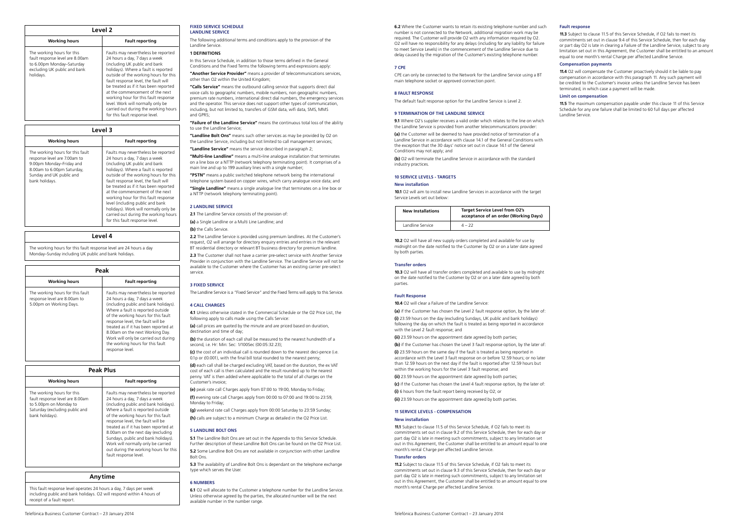| Level 2 |                                                                                                                                         |                                                                                                                                                                                                                                                                                                                                                                                                                                                                   |
|---------|-----------------------------------------------------------------------------------------------------------------------------------------|-------------------------------------------------------------------------------------------------------------------------------------------------------------------------------------------------------------------------------------------------------------------------------------------------------------------------------------------------------------------------------------------------------------------------------------------------------------------|
|         | <b>Working hours</b>                                                                                                                    | <b>Fault reporting</b>                                                                                                                                                                                                                                                                                                                                                                                                                                            |
|         | The working hours for this<br>fault response level are 8.00am<br>to 6.00pm Monday-Saturday<br>excluding UK public and bank<br>holidays. | Faults may nevertheless be reported<br>24 hours a day, 7 days a week<br>(including UK public and bank<br>holidays). Where a fault is reported<br>outside of the working hours for this<br>fault response level, the fault will<br>be treated as if it has been reported<br>at the commencement of the next<br>working hour for this fault response<br>level. Work will normally only be<br>carried out during the working hours<br>for this fault response level. |

| Level 3                                                                                                                                                                  |                                                                                                                                                                                                                                                                                                                                                                                                                                                                                                           |
|--------------------------------------------------------------------------------------------------------------------------------------------------------------------------|-----------------------------------------------------------------------------------------------------------------------------------------------------------------------------------------------------------------------------------------------------------------------------------------------------------------------------------------------------------------------------------------------------------------------------------------------------------------------------------------------------------|
| <b>Working hours</b>                                                                                                                                                     | <b>Fault reporting</b>                                                                                                                                                                                                                                                                                                                                                                                                                                                                                    |
| The working hours for this fault<br>response level are 7.00am to<br>9.00pm Monday-Friday and<br>8.00am to 6.00pm Saturday,<br>Sunday and UK public and<br>bank holidays. | Faults may nevertheless be reported<br>24 hours a day, 7 days a week<br>(including UK public and bank<br>holidays). Where a fault is reported<br>outside of the working hours for this<br>fault response level, the fault will<br>be treated as if it has been reported<br>at the commencement of the next<br>working hour for this fault response<br>level (including public and bank<br>holidays). Work will normally only be<br>carried out during the working hours<br>for this fault response level. |

Level 4

The working hours for this fault response level are 24 hours a day Monday–Sunday including UK public and bank holidays.

| Peak                                                                                        |                                                                                                                                                                                                                                                                                                                                                                                                           |
|---------------------------------------------------------------------------------------------|-----------------------------------------------------------------------------------------------------------------------------------------------------------------------------------------------------------------------------------------------------------------------------------------------------------------------------------------------------------------------------------------------------------|
| <b>Working hours</b>                                                                        | <b>Fault reporting</b>                                                                                                                                                                                                                                                                                                                                                                                    |
| The working hours for this fault<br>response level are 8.00am to<br>5.00pm on Working Days. | Faults may nevertheless be reported<br>24 hours a day, 7 days a week<br>(including public and bank holidays).<br>Where a fault is reported outside<br>of the working hours for this fault<br>response level, the fault will be<br>treated as if it has been reported at<br>8.00am on the next Working Day.<br>Work will only be carried out during<br>the working hours for this fault<br>response level. |

| Peak Plus                                                                                                                                    |                                                                                                                                                                                                                                                                                                                                                                                                                                                             |  |
|----------------------------------------------------------------------------------------------------------------------------------------------|-------------------------------------------------------------------------------------------------------------------------------------------------------------------------------------------------------------------------------------------------------------------------------------------------------------------------------------------------------------------------------------------------------------------------------------------------------------|--|
| <b>Working hours</b>                                                                                                                         | <b>Fault reporting</b>                                                                                                                                                                                                                                                                                                                                                                                                                                      |  |
| The working hours for this<br>fault response level are 8.00am<br>to 5.00pm on Monday to<br>Saturday (excluding public and<br>bank holidays). | Faults may nevertheless be reported<br>24 hours a day, 7 days a week<br>(including public and bank holidays).<br>Where a fault is reported outside<br>of the working hours for this fault<br>response level, the fault will be<br>treated as if it has been reported at<br>8.00am on the next day (excluding<br>Sundays, public and bank holidays).<br>Work will normally only be carried<br>out during the working hours for this<br>fault response level. |  |

## Anytime

This fault response level operates 24 hours a day, 7 days per week including public and bank holidays. O2 will respond within 4 hours of receipt of a fault report.

#### FIXED SERVICE SCHEDULE LANDLINE SERVICE

The following additional terms and conditions apply to the provision of the Landline Service.

## 1 DEFINITIONS

In this Service Schedule, in addition to those terms defined in the General Conditions and the Fixed Terms the following terms and expressions apply: "Another Service Provider" means a provider of telecommunications services, other than O2 within the United Kingdom;

"Calls Service" means the outbound calling service that supports direct dial voice calls to geographic numbers, mobile numbers, non geographic numbers, premium rate numbers, international direct dial numbers, the emergency services and the operator. This service does not support other types of communication, including, but not limited to, transfers of GSM data, wifi data, SMS, MMS and GPRS;

"Failure of the Landline Service" means the continuous total loss of the ability to use the Landline Service;

"Landline Bolt Ons" means such other services as may be provided by O2 on the Landline Service, including but not limited to call management services;

"Landline Service" means the service described in paragraph 2; "Multi-line Landline" means a multi-line analogue installation that terminates

on a line box or a NTTP (network telephony terminating point). It comprises of a main line and up to 199 auxiliary lines with a single number;

"PSTN" means a public switched telephone network being the international telephone system based on copper wires, which carry analogue voice data; and

"Single Landline" means a single analogue line that terminates on a line box or a NTTP (network telephony terminating point).

## 2 LANDLINE SERVICE

2.1 The Landline Service consists of the provision of: (a) a Single Landline or a Multi Line Landline; and

## (b) the Calls Service.

2.2 The Landline Service is provided using premium landlines. At the Customer's request, O2 will arrange for directory enquiry entries and entries in the relevant BT residential directory or relevant BT business directory for premium landline. 2.3 The Customer shall not have a carrier pre-select service with Another Service Provider in conjunction with the Landline Service. The Landline Service will not be available to the Customer where the Customer has an existing carrier pre-select service.

#### 3 FIXED SERVICE

The Landline Service is a "Fixed Service" and the Fixed Terms will apply to this Service.

## 4 CALL CHARGES

4.1 Unless otherwise stated in the Commercial Schedule or the O2 Price List, the following apply to calls made using the Calls Service:

(a) call prices are quoted by the minute and are priced based on duration. destination and time of day;

(b) the duration of each call shall be measured to the nearest hundredth of a second, i.e. Hr: Min: Sec: 1/100Sec (00:05:32.23)

(c) the cost of an individual call is rounded down to the nearest deci-pence (i.e. 0.1p or £0.001), with the final bill total rounded to the nearest penny

(d) each call shall be charged excluding VAT, based on the duration, the ex VAT cost of each call is then calculated and the result rounded up to the nearest penny. VAT is then added where applicable to the total of all charges on the Customer's invoice;

(e) peak rate call Charges apply from 07:00 to 19:00, Monday to Friday; (f) evening rate call Charges apply from 00:00 to 07:00 and 19:00 to 23:59, Monday to Friday;

(g) weekend rate call Charges apply from 00:00 Saturday to 23:59 Sunday; (h) calls are subject to a minimum Charge as detailed in the O2 Price List.

## 5 LANDLINE BOLT ONS

5.1 The Landline Bolt Ons are set out in the Appendix to this Service Schedule. Further description of these Landline Bolt Ons can be found on the O2 Price List. 5.2 Some Landline Bolt Ons are not available in conjunction with other Landline Bolt Ons.

5.3 The availability of Landline Bolt Ons is dependant on the telephone exchange type which serves the User.

## 6 NUMBERS

6.1 O2 will allocate to the Customer a telephone number for the Landline Service. Unless otherwise agreed by the parties, the allocated number will be the next available number in the number range.

6.2 Where the Customer wants to retain its existing telephone number and such number is not connected to the Network, additional migration work may be required. The Customer will provide O2 with any information required by O2. O2 will have no responsibility for any delays (including for any liability for failure to meet Service Levels) in the commencement of the Landline Service due to delay caused by the migration of the Customer's existing telephone number.

#### 7 CPE

CPE can only be connected to the Network for the Landline Service using a BT main telephone socket or approved connection point.

## 8 FAULT RESPONSE

The default fault response option for the Landline Service is Level 2.

#### 9 TERMINATION OF THE LANDLINE SERVICE

9.1 Where O2's supplier receives a valid order which relates to the line on which the Landline Service is provided from another telecommunications provider:

(a) the Customer will be deemed to have provided notice of termination of a Landline Service in accordance with clause 14.1 of the General Conditions with the exception that the 30 days' notice set out in clause 14.1 of the General Conditions may not apply; and

(b) O2 will terminate the Landline Service in accordance with the standard industry practices.

## 10 SERVICE LEVELS - TARGETS

#### New installation

10.1 O2 will aim to install new Landline Services in accordance with the target Service Levels set out below:

| <b>New Installations</b> | <b>Target Service Level from O2's</b><br>acceptance of an order (Working Days) |
|--------------------------|--------------------------------------------------------------------------------|
| Landline Service         | $4 - 22$                                                                       |

10.2 O2 will have all new supply orders completed and available for use by midnight on the date notified to the Customer by O2 or on a later date agreed by both parties.

## Transfer orders

10.3 O2 will have all transfer orders completed and available to use by midnight on the date notified to the Customer by O2 or on a later date agreed by both parties.

## Fault Response

10.4 O2 will clear a Failure of the Landline Service:

(a) if the Customer has chosen the Level 2 fault response option, by the later of: (i) 23.59 hours on the day (excluding Sundays, UK public and bank holidays) following the day on which the fault is treated as being reported in accordance with the Level 2 fault response; and

(ii) 23.59 hours on the appointment date agreed by both parties;

(b) if the Customer has chosen the Level 3 fault response option, by the later of:

(i) 23.59 hours on the same day if the fault is treated as being reported in accordance with the Level 3 fault response on or before 12.59 hours; or no later than 12.59 hours on the next day if the fault is reported after 12.59 hours but within the working hours for the Level 3 fault response; and

(ii) 23.59 hours on the appointment date agreed by both parties;

(c) if the Customer has chosen the Level 4 fault response option, by the later of: (i) 6 hours from the fault report being received by O2; or

(ii) 23.59 hours on the appointment date agreed by both parties.

## 11 SERVICE LEVELS - COMPENSATION

## New installation

11.1 Subject to clause 11.5 of this Service Schedule, if O2 fails to meet its commitments set out in clause 9.2 of this Service Schedule, then for each day or part day O2 is late in meeting such commitments, subject to any limitation set out in this Agreement, the Customer shall be entitled to an amount equal to one month's rental Charge per affected Landline Service.

## Transfer orders

11.2 Subject to clause 11.5 of this Service Schedule, if O2 fails to meet its commitments set out in clause 9.3 of this Service Schedule, then for each day or part day O2 is late in meeting such commitments, subject to any limitation set out in this Agreement, the Customer shall be entitled to an amount equal to one month's rental Charge per affected Landline Service.

## Fault response

11.3 Subject to clause 11.5 of this Service Schedule, if O2 fails to meet its commitments set out in clause 9.4 of this Service Schedule, then for each day or part day O2 is late in clearing a Failure of the Landline Service, subject to any limitation set out in this Agreement, the Customer shall be entitled to an amount equal to one month's rental Charge per affected Landline Service.

## Compensation payments

11.4 O2 will compensate the Customer proactively should it be liable to pay compensation in accordance with this paragraph 11. Any such payment will be credited to the Customer's invoice unless the Landline Service has been terminated, in which case a payment will be made.

## Limit on compensation

11.5 The maximum compensation payable under this clause 11 of this Service Schedule for any one failure shall be limited to 60 full days per affected Landline Service.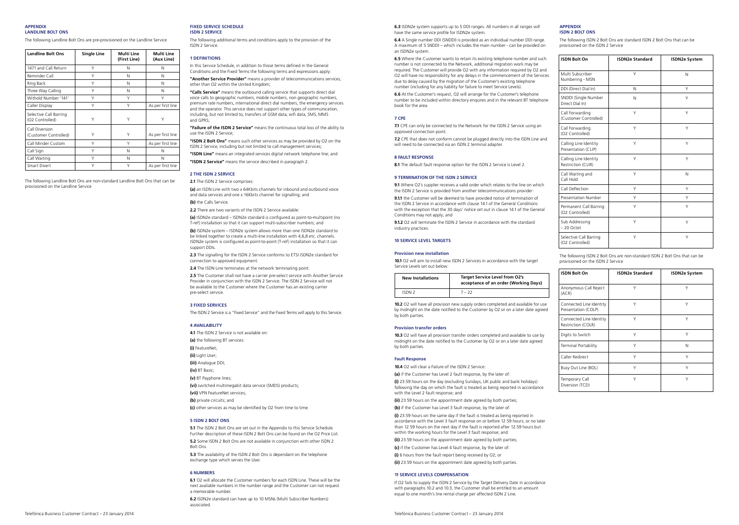#### APPENDIX LANDLINE BOLT ONS

The following Landline Bolt Ons are pre-provisioned on the Landline Service

| <b>Landline Bolt Ons</b>                  | <b>Single Line</b> | Multi Line<br>(First Line) | Multi Line<br>(Aux Line) |
|-------------------------------------------|--------------------|----------------------------|--------------------------|
| 1471 and Call Return                      | Υ                  | N                          | Ν                        |
| Reminder Call                             | Y                  | N                          | N                        |
| Ring Back                                 | Υ                  | N                          | Ν                        |
| Three Way Calling                         | Υ                  | N                          | Ν                        |
| Withold Number '141'                      | Y                  | Υ                          | Υ                        |
| Caller Display                            | Y                  | Υ                          | As per first line        |
| Selective Call Barring<br>(O2 Controlled) | Υ                  | Υ                          | Υ                        |
| Call Diversion<br>(Customer Controlled)   | Υ                  | Υ                          | As per first line        |
| Call Minder Custom                        | Y                  | Y                          | As per first line        |
| Call Sign                                 | Υ                  | Ν                          | Ν                        |
| Call Waiting                              | Υ                  | N                          | Ν                        |
| Smart Divert                              | Y                  | Υ                          | As per first line        |

The following Landline Bolt Ons are non-standard Landline Bolt Ons that can be provisioned on the Landline Service

#### FIXED SERVICE SCHEDULE ISDN 2 SERVICE

The following additional terms and conditions apply to the provision of the ISDN 2 Service.

#### 1 DEFINITIONS

In this Service Schedule, in addition to those terms defined in the General Conditions and the Fixed Terms the following terms and expressions apply:

"Another Service Provider" means a provider of telecommunications services, other than O2 within the United Kingdom;

"Calls Service" means the outbound calling service that supports direct dial voice calls to geographic numbers, mobile numbers, non geographic numbers, premium rate numbers, international direct dial numbers, the emergency services and the operator. This service does not support other types of communication, including, but not limited to, transfers of GSM data, wifi data, SMS, MMS and GPRS;

"Failure of the ISDN 2 Service" means the continuous total loss of the ability to use the ISDN 2 Service;

"ISDN 2 Bolt Ons" means such other services as may be provided by O2 on the ISDN 2 Service, including but not limited to call management services;

"ISDN Line" means an integrated services digital network telephone line; and "ISDN 2 Service" means the service described in paragraph 2.

#### 2 THE ISDN 2 SERVICE

2.1 The ISDN 2 Service comprises:

(a) an ISDN Line with two x 64Kbits channels for inbound and outbound voice and data services and one x 16Kbits channel for signalling; and

## (b) the Calls Service.

2.2 There are two variants of the ISDN 2 Service available:

(a) ISDN2e standard – ISDN2e standard is configured as point-to-multipoint (no T-ref) installation so that it can support multi-subscriber numbers; and

(b) ISDN2e system – ISDN2e system allows more than one ISDN2e standard to be linked together to create a multi-line installation with 4,6,8 etc. channels. ISDN2e system is configured as point-to-point (T-ref) installation so that it can support DDIs.

2.3 The signalling for the ISDN 2 Service conforms to ETSI ISDN2e standard for connection to approved equipment.

2.4 The ISDN Line terminates at the network terminating point.

2.5 The Customer shall not have a carrier pre-select service with Another Service Provider in conjunction with the ISDN 2 Service. The ISDN 2 Service will not be available to the Customer where the Customer has an existing carrier pre-select service.

## 3 FIXED SERVICES

The ISDN 2 Service is a "Fixed Service" and the Fixed Terms will apply to this Service.

## 4 AVAILABILITY

4.1 The ISDN 2 Service is not available on:

- (a) the following BT services:
- (i) FeatureNet;
- (ii) Light User;
- (iii) Analogue DDI;
- (iv) BT Basic;
- (v) BT Payphone lines;

(vi) switched multimegabit data service (SMDS) products;

- (vii) VPN FeatureNet services; (b) private circuits; and
- (c) other services as may be identified by O2 from time to time.

#### 5 ISDN 2 BOLT ONS

5.1 The ISDN 2 Bolt Ons are set out in the Appendix to this Service Schedule. Further description of these ISDN 2 Bolt Ons can be found on the O2 Price List. 5.2 Some ISDN 2 Bolt Ons are not available in conjunction with other ISDN 2 Bolt Ons.

5.3 The availability of the ISDN 2 Bolt Ons is dependant on the telephone exchange type which serves the User.

## 6 NUMBERS

6.1 O2 will allocate the Customer numbers for each ISDN Line. These will be the next available numbers in the number range and the Customer can not request a memorable number.

6.2 ISDN2e standard can have up to 10 MSNs (Multi Subscriber Numbers) associated.

6.3 ISDN2e system supports up to 5 DDI ranges. All numbers in all ranges will have the same service profile for ISDN2e system.

6.4 A Single number DDI (SNDDI) is provided as an individual number DDI range. A maximum of 5 SNDDI – which includes the main number - can be provided on an ISDN2e system.

6.5 Where the Customer wants to retain its existing telephone number and such number is not connected to the Network, additional migration work may be required. The Customer will provide O2 with any information required by O2 and O2 will have no responsibility for any delays in the commencement of the Services due to delay caused by the migration of the Customer's existing telephone number (including for any liability for failure to meet Service Levels).

6.6 At the Customer's request, O2 will arrange for the Customer's telephone number to be included within directory enquires and in the relevant BT telephone book for the area.

## 7 CPE

7.1 CPE can only be connected to the Network for the ISDN 2 Service using an approved connection point.

7.2 CPE that does not conform cannot be plugged directly into the ISDN Line and will need to be connected via an ISDN 2 terminal adapter.

#### 8 FAULT RESPONSE

8.1 The default fault response option for the ISDN 2 Service is Level 2.

## **9 TERMINATION OF THE ISDN 2 SERVICE**

9.1 Where O2's supplier receives a valid order which relates to the line on which the ISDN 2 Service is provided from another telecommunications provider: 9.1.1 the Customer will be deemed to have provided notice of termination of

the ISDN 2 Service in accordance with clause 14.1 of the General Conditions with the exception that the 30 days' notice set out in clause 14.1 of the General Conditions may not apply; and

9.1.2 O2 will terminate the ISDN 2 Service in accordance with the standard industry practices.

## 10 SERVICE LEVEL TARGETS

## Provision new installation

10.1 O2 will aim to install new ISDN 2 Services in accordance with the target Service Levels set out below:

| <b>New Installations</b> | <b>Target Service Level from O2's</b><br>acceptance of an order (Working Days) |
|--------------------------|--------------------------------------------------------------------------------|
| ISDN <sub>2</sub>        | $7 - 22$                                                                       |

10.2 O2 will have all provision new supply orders completed and available for use by midnight on the date notified to the Customer by O2 or on a later date agreed by both parties.

#### Provision transfer orders

10.3 O2 will have all provision transfer orders completed and available to use by midnight on the date notified to the Customer by O2 or on a later date agreed by both parties.

## Fault Response

10.4 O2 will clear a Failure of the ISDN 2 Service:

(a) if the Customer has Level 2 fault response, by the later of:

(i) 23.59 hours on the day (excluding Sundays, UK public and bank holidays) following the day on which the fault is treated as being reported in accordance with the Level 2 fault response; and

(ii) 23.59 hours on the appointment date agreed by both parties;

(b) if the Customer has Level 3 fault response, by the later of:

(i) 23.59 hours on the same day if the fault is treated as being reported in accordance with the Level 3 fault response on or before 12.59 hours; or no later than 12.59 hours on the next day if the fault is reported after 12.59 hours but within the working hours for the Level 3 fault response; and

- (ii) 23.59 hours on the appointment date agreed by both parties;
- (c) if the Customer has Level 4 fault response, by the later of:
- (i) 6 hours from the fault report being received by O2; or
- (ii) 23.59 hours on the appointment date agreed by both parties.

## 11 SERVICE LEVELS COMPENSATION

If O2 fails to supply the ISDN 2 Service by the Target Delivery Date in accordance with paragraphs 10.2 and 10.3, the Customer shall be entitled to an amount equal to one month's line rental charge per affected ISDN 2 Line.

## **APPENDIX** ISDN 2 BOLT ONS

The following ISDN 2 Bolt Ons are standard ISDN 2 Bolt Ons that can be provisioned on the ISDN 2 Service

| <b>ISDN Bolt On</b>                          | <b>ISDN2e Standard</b> | <b>ISDN2e System</b> |
|----------------------------------------------|------------------------|----------------------|
| Multi Subscriber<br>Numbering - MSN          | Υ                      | N                    |
| DDI (Direct Dial In)                         | N                      | Υ                    |
| SNDDI (Single Number<br>Direct Dial In)      | N                      | Υ                    |
| Call Forwarding<br>(Customer Controlled)     | Y                      | Υ                    |
| Call Forwarding<br>(O2 Controlled)           | Y                      | Y                    |
| Calling Line Identity<br>Presentation (CLIP) | Y                      | Y                    |
| Calling Line Identity<br>Restriction (CLIR)  | Y                      | Y                    |
| Call Waiting and<br>Call Hold                | Y                      | N                    |
| Call Deflection                              | Υ                      | Y                    |
| Presentation Number                          | Υ                      | Υ                    |
| Permanent Call Barring<br>(O2 Controlled)    | Υ                      | Y                    |
| Sub Addressing<br>$-20$ Octet                | Υ                      | Y                    |
| Selective Call Barring<br>(O2 Controlled)    | Υ                      | Υ                    |

The following ISDN 2 Bolt Ons are non-standard ISDN 2 Bolt Ons that can be provisioned on the ISDN 2 Service

| <b>ISDN Bolt On</b>                            | <b>ISDN2e Standard</b> | <b>ISDN2e System</b> |
|------------------------------------------------|------------------------|----------------------|
| Anonymous Call Reject<br>(ACR)                 | Y                      | Υ                    |
| Connected Line Identity<br>Presentation (COLP) | Y                      | Υ                    |
| Connected Line Identity<br>Restriction (COLR)  | Υ                      | Υ                    |
| Digits to Switch                               | Y                      | Y                    |
| <b>Terminal Portability</b>                    | Y                      | N                    |
| Caller Redirect                                | Y                      | ٧                    |
| Busy Out Line (BOL)                            | Y                      | Y                    |
| Temporary Call<br>Diversion (TCD)              | Υ                      | Υ                    |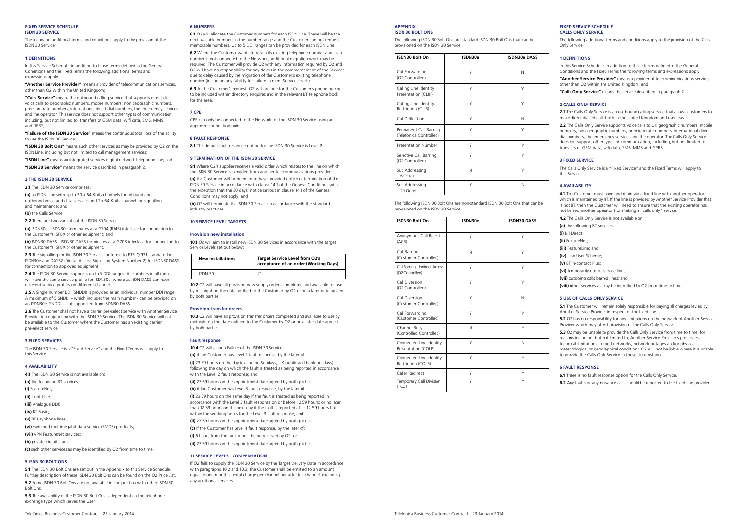#### FIXED SERVICE SCHEDULE ISDN 30 SERVICE

The following additional terms and conditions apply to the provision of the ISDN 30 Service.

#### 1 DEFINITIONS

In this Service Schedule, in addition to those terms defined in the General Conditions and the Fixed Terms the following additional terms and expressions apply:

"Another Service Provider" means a provider of telecommunications services, other than 02 within the United Kingdom

"Calls Service" means the outbound calling service that supports direct dial voice calls to geographic numbers, mobile numbers, non geographic numbers, premium rate numbers, international direct dial numbers, the emergency services and the operator. This service does not support other types of communication, including, but not limited to, transfers of GSM data, wifi data, SMS, MMS and GPRS;

"Failure of the ISDN 30 Service" means the continuous total loss of the ability to use the ISDN 30 Service; "ISDN 30 Bolt Ons" means such other services as may be provided by O2 on the

ISDN Line, including but not limited to call management services; "ISDN Line" means an integrated services digital network telephone line; and

"ISDN 30 Service" means the service described in paragraph 2.

#### 2 THE ISDN 30 SERVICE

2.1 The ISDN 30 Service comprises:

(a) an ISDN Line with up to 30 x 64 Kbits channels for inbound and outbound voice and data services and 2 x 64 Kbits channel for signalling and maintenance; and

(b) the Calls Service.

2.2 There are two variants of the ISDN 30 Service

(a) ISDN30e - ISDN30e terminates at a G704 (RJ45) interface for connection to the Customer's ISPBX or other equipment; and

(b) ISDN30 DASS - ISDN30 DASS terminates at a G703 interface for connection to the Customer's ISPBX or other equipment.

2.3 The signalling for the ISDN 30 Service conforms to ETSI Q.931 standard for ISDN30e and DASS2 (Digital Access Signalling System Number 2) for ISDN30 DASS for connection to approved equipment.

2.4 The ISDN 30 Service supports up to 5 DDI ranges. All numbers in all ranges will have the same service profile for ISDN30e, where as ISDN DASS can have different service profiles on different channels.

2.5 A Single number DDI (SNDDI) is provided as an individual number DDI range. A maximum of 5 SNDDI – which includes the main number - can be provided on an ISDN30e. SNDDI is not supported from ISDN30 DASS.

2.6 The Customer shall not have a carrier pre-select service with Another Service Provider in conjunction with the ISDN 30 Service. The ISDN 30 Service will not be available to the Customer where the Customer has an existing carrier pre-select service.

#### 3 FIXED SERVICES

The ISDN 30 Service is a "Fixed Service" and the Fixed Terms will apply to this Service.

## 4 AVAILABILITY

4.1 The ISDN 30 Service is not available on: (a) the following BT services: (i) FeatureNet; (ii) Light User; (iii) Analogue DDI; (iv) BT Basic; (v) BT Payphone lines; (vi) switched multimegabit data service (SMDS) products; (vii) VPN FeatureNet services; (b) private circuits; and (c) such other services as may be identified by O2 from time to time.

## 5 ISDN 30 BOLT ONS

5.1 The ISDN 30 Bolt Ons are set out in the Annendix to this Service Schedule. Further description of these ISDN 30 Bolt Ons can be found on the O2 Price List. 5.2 Some ISDN 30 Bolt Ons are not available in conjunction with other ISDN 30 Bolt Ons.

5.3 The availability of the ISDN 30 Bolt Ons is dependent on the telephone exchange type which serves the User

#### Telefónica Business Customer Contract – 23 January 2014 Telefónica Business Customer Contract – 23 January 2014

## 6 NUMBERS

6.1 O2 will allocate the Customer numbers for each ISDN Line. These will be the next available numbers in the number range and the Customer can not request memorable numbers. Up to 5 DDI ranges can be provided for each ISDN Line.

6.2 Where the Customer wants to retain its existing telephone number and such number is not connected to the Network, additional migration work may be required. The Customer will provide O2 with any information required by O2 and O2 will have no responsibility for any delays in the commencement of the Services due to delay caused by the migration of the Customer's existing telephone number (including any liability for failure to meet Service Levels).

6.3 At the Customer's request, O2 will arrange for the Customer's phone number to be included within directory enquires and in the relevant BT telephone book for the area.

#### 7 CPE

CPE can only be connected to the Network for the ISDN 30 Service using an approved connection point.

## 8 FAULT RESPONSE

8.1 The default fault response option for the ISDN 30 Service is Level 2.

## 9 TERMINATION OF THE ISDN 30 SERVICE

9.1 Where O2's supplier receives a valid order which relates to the line on which the ISDN 30 Service is provided from another telecommunications provider:

(a) the Customer will be deemed to have provided notice of termination of the ISDN 30 Service in accordance with clause 14.1 of the General Conditions with the exception that the 30 days' notice set out in clause 14.1 of the General Conditions may not apply; and

(b) O2 will terminate the ISDN 30 Service in accordance with the standard industry practices.

## 10 SERVICE LEVEL TARGETS

#### Provision new installation

10.1 O2 will aim to install new ISDN 30 Services in accordance with the target Service Levels set out below:

| <b>New Installations</b> | <b>Target Service Level from O2's</b><br>acceptance of an order (Working Days) |
|--------------------------|--------------------------------------------------------------------------------|
| ISDN 30                  |                                                                                |

10.2 O2 will have all provision new supply orders completed and available for use by midnight on the date notified to the Customer by O2 or on a later date agreed by both parties.

#### Provision transfer orders

10.3 O2 will have all provision transfer orders completed and available to use by midnight on the date notified to the Customer by O2 or on a later date agreed by both parties.

## Fault response

10.4 O2 will clear a Failure of the ISDN 30 Service

(a) if the Customer has Level 2 fault response, by the later of

(i) 23.59 hours on the day (excluding Sundays, UK public and bank holidays) following the day on which the fault is treated as being reported in accordance with the Level 2 fault response; and

(ii) 23.59 hours on the appointment date agreed by both parties; (b) if the Customer has Level 3 fault response, by the later of:

(i) 23.59 hours on the same day if the fault is treated as being reported in accordance with the Level 3 fault response on or before 12.59 hours; or no later than 12.59 hours on the next day if the fault is reported after 12.59 hours but within the working hours for the Level 3 fault response; and

(ii) 23.59 hours on the appointment date agreed by both parties;

(c) if the Customer has Level 4 fault response, by the later of: (i) 6 hours from the fault report being received by O2; or

(ii) 23.59 hours on the appointment date agreed by both parties.

#### 11 SERVICE LEVELS - COMPENSATION

If O2 fails to supply the ISDN 30 Service by the Target Delivery Date in accordance with paragraphs 10.2 and 10.3, the Customer shall be entitled to an amount equal to one month's rental charge per channel per affected channel, excluding any additional services.

#### **APPENDIX** ISDN 30 BOLT ONS

The following ISDN 30 Bolt Ons are standard ISDN 30 Bolt Ons that can be provisioned on the ISDN 30 Service

| ISDN30 Bolt On                                    | ISDN30e | <b>ISDN30e DASS</b> |
|---------------------------------------------------|---------|---------------------|
| Call Forwarding<br>(O2 Controlled)                | Υ       | N                   |
| Calling Line Identity<br>Presentation (CLIP)      | ٧       | Υ                   |
| Calling Line Identity<br>Restriction (CLIR)       | Υ       | Υ                   |
| Call Deflection                                   | Υ       | N                   |
| Permanent Call Barring<br>(Telefónica Controlled) | Y       | Υ                   |
| Presentation Number                               | Y       | Y                   |
| Selective Call Barring<br>(O2 Controlled)         | Υ       | Υ                   |
| Sub Addressing<br>$-6$ Octet                      | N       | Y                   |
| Sub Addressing<br>$-20$ Octet                     | Y       | N                   |

The following ISDN 30 Bolt Ons are non-standard ISDN 30 Bolt Ons that can be provisioned on the ISDN 30 Service

| ISDN30 Bolt On                                    | ISDN30e | <b>ISDN30 DASS</b> |
|---------------------------------------------------|---------|--------------------|
| Anonymous Call Reject<br>(ACR)                    | Υ       | Υ                  |
| Call Barring<br>(Customer Controlled)             | N       | Υ                  |
| Call Barring - Indirect Access<br>(O2 Controlled) | Υ       | Υ                  |
| Call Diversion<br>(O2 Controlled)                 | Y       | Υ                  |
| Call Diversion<br>(Customer Controlled)           | Y       | N                  |
| Call Forwarding<br>(Customer Controlled)          | Y       | Y                  |
| Channel Busy<br>(Controlled Controlled)           | N       | Y                  |
| Connected Line Identity<br>Presentation (COLP)    | Y       | N                  |
| Connected Line Identity<br>Restriction (COLR)     | v       | Y                  |
| Caller Redirect                                   | Υ       | Υ                  |
| Temporary Call Division<br>(TCD)                  | Υ       | Y                  |

#### FIXED SERVICE SCHEDULE CALLS ONLY SERVICE

The following additional terms and conditions apply to the provision of the Calls Only Service.

#### 1 DEFINITIONS

In this Service Schedule, in addition to those terms defined in the General Conditions and the Fixed Terms the following terms and expressions apply:

"Another Service Provider" means a provider of telecommunications services, other than O2 within the United Kingdom; and

"Calls Only Service" means the service described in paragraph 2.

## 2 CALLS ONLY SERVICE

2.1 The Calls Only Service is an outbound calling service that allows customers to make direct dialled calls both in the United Kingdom and overseas.

2.2 The Calls Only Service supports voice calls to UK geographic numbers, mobile numbers, non-geographic numbers, premium rate numbers, international direct dial numbers, the emergency services and the operator. The Calls Only Service does not support other types of communication, including, but not limited to, transfers of GSM data, wifi data, SMS, MMS and GPRS.

## 3 FIXED SERVICE

The Calls Only Service is a "Fixed Service" and the Fixed Terms will apply to this Service.

## 4 AVAILABILITY

4.1 The Customer must have and maintain a fixed line with another operator, which is maintained by BT. If the line is provided by Another Service Provider that is not BT, then the Customer will need to ensure that the existing operator has not barred another operator from taking a "calls only" service.

| 4.2 The Calls Only Service is not available on:                    |
|--------------------------------------------------------------------|
| (a) the following BT services:                                     |
| (i) Bill Direct:                                                   |
| (ii) FeatureNet:                                                   |
| (iii) FeatureLine: and                                             |
| (iv) Low User Scheme:                                              |
| (v) BT In-contact Plus:                                            |
| (vi) temporarily out of service lines;                             |
| (vii) outgoing calls barred lines; and                             |
| (viii) other services as may be identified by O2 from time to time |

## 5 USE OF CALLS ONLY SERVICE

5.1 The Customer will remain solely responsible for paying all charges levied by Another Service Provider in respect of the fixed line.

5.2 O2 has no responsibility for any limitations on the network of Another Service Provider which may affect provision of the Calls Only Service.

5.3 O2 may be unable to provide the Calls Only Service from time to time, for reasons including, but not limited to, Another Service Provider's processes, technical limitations in fixed networks, network outages and/or physical, meteorological or geographical conditions. O2 will not be liable where it is unable to provide the Calls Only Service in these circumstances.

## 6 FAULT RESPONSE

6.1 There is no fault response option for the Calls Only Service. 6.2 Any faults or any nuisance calls should be reported to the fixed line provider.